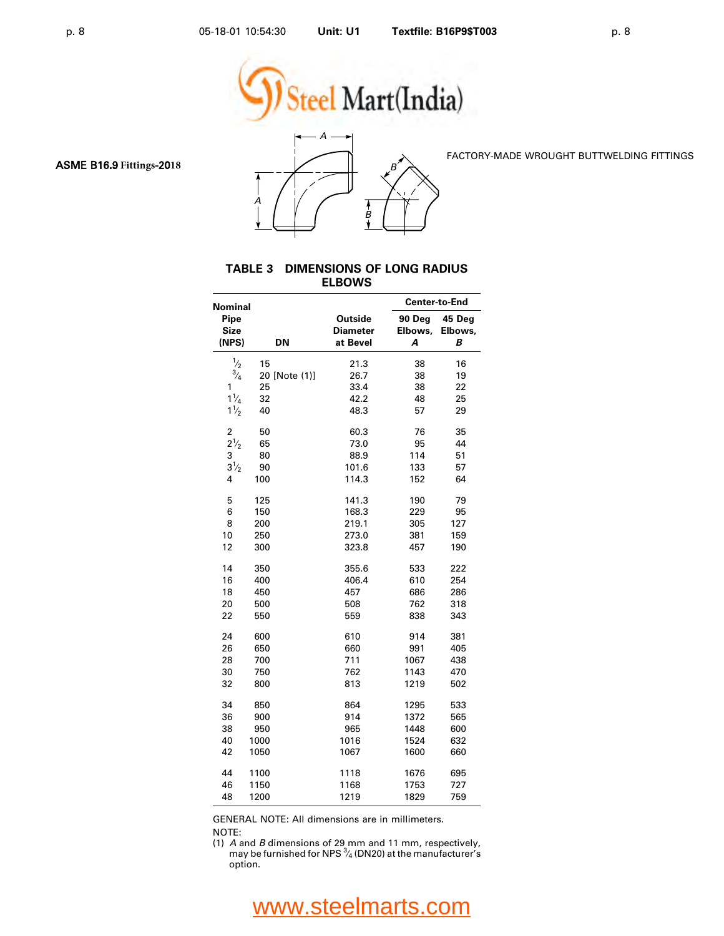



FACTORY-MADE WROUGHT BUTTWELDING FITTINGS

#### **TABLE 3 DIMENSIONS OF LONG RADIUS ELBOWS**

| Nominal                      |               |                                 | <b>Center-to-End</b>   |                        |  |
|------------------------------|---------------|---------------------------------|------------------------|------------------------|--|
| Pipe<br><b>Size</b><br>(NPS) | DN            | Outside<br>Diameter<br>at Bevel | 90 Deg<br>Elbows,<br>A | 45 Deg<br>Elbows,<br>В |  |
| $\frac{1}{2}$                | 15            | 21.3                            | 38                     | 16                     |  |
| $\frac{3}{4}$                | 20 [Note (1)] | 26.7                            | 38                     | 19                     |  |
| 1                            | 25            | 33.4                            | 38                     | 22                     |  |
| $1\frac{1}{4}$               | 32            | 42.2                            | 48                     | 25                     |  |
| $1\frac{1}{2}$               | 40            | 48.3                            | 57                     | 29                     |  |
|                              |               |                                 |                        |                        |  |
| 2                            | 50            | 60.3                            | 76                     | 35                     |  |
| $2^{1/2}$                    | 65            | 73.0                            | 95                     | 44                     |  |
| 3                            | 80            | 88.9                            | 114                    | 51                     |  |
| $3^{1/2}$                    | 90            | 101.6                           | 133                    | 57                     |  |
| 4                            | 100           | 114.3                           | 152                    | 64                     |  |
| 5                            | 125           | 141.3                           | 190                    | 79                     |  |
| 6                            | 150           | 168.3                           | 229                    | 95                     |  |
| 8                            | 200           | 219.1                           | 305                    | 127                    |  |
| 10                           | 250           | 273.0                           | 381                    | 159                    |  |
| 12                           | 300           | 323.8                           | 457                    | 190                    |  |
| 14                           | 350           | 355.6                           | 533                    | 222                    |  |
| 16                           | 400           | 406.4                           | 610                    | 254                    |  |
| 18                           | 450           | 457                             | 686                    | 286                    |  |
| 20                           | 500           | 508                             | 762                    | 318                    |  |
| 22                           | 550           | 559                             | 838                    | 343                    |  |
| 24                           | 600           | 610                             | 914                    | 381                    |  |
| 26                           | 650           | 660                             | 991                    | 405                    |  |
| 28                           | 700           | 711                             | 1067                   | 438                    |  |
| 30                           | 750           | 762                             | 1143                   | 470                    |  |
| 32                           | 800           | 813                             | 1219                   | 502                    |  |
| 34                           | 850           | 864                             | 1295                   | 533                    |  |
| 36                           | 900           | 914                             | 1372                   | 565                    |  |
| 38                           | 950           | 965                             | 1448                   | 600                    |  |
| 40                           | 1000          | 1016                            | 1524                   | 632                    |  |
| 42                           | 1050          | 1067                            | 1600                   | 660                    |  |
| 44                           | 1100          | 1118                            | 1676                   | 695                    |  |
| 46                           | 1150          | 1168                            | 1753                   | 727                    |  |
| 48                           | 1200          | 1219                            | 1829                   | 759                    |  |
|                              |               |                                 |                        |                        |  |

GENERAL NOTE: All dimensions are in millimeters.

NOTE:

(1) *A* and *B* dimensions of 29 mm and 11 mm, respectively, may be furnished for NPS  $\frac{3}{4}$  (DN20) at the manufacturer's ⁄ option.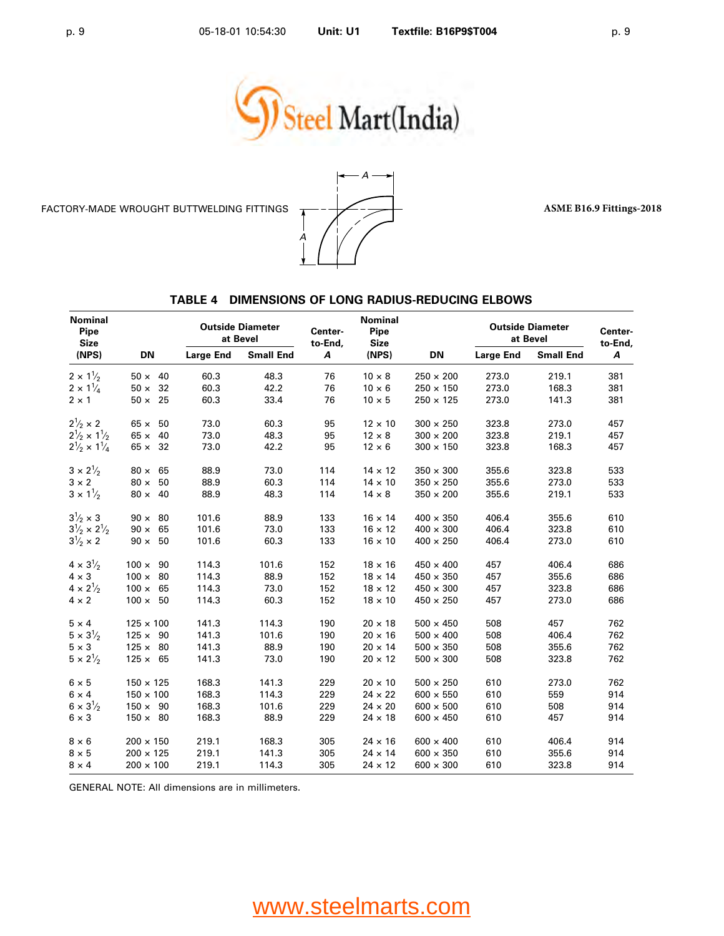

FACTORY-MADE WROUGHT BUTTWELDING FITTINGS  $\overline{A}$  -  $\overline{A}$  -  $\overline{A}$  -  $\overline{A}$  -  $\overline{A}$  -  $\overline{A}$  -  $\overline{A}$  -  $\overline{A}$  -  $\overline{A}$  -  $\overline{A}$  -  $\overline{A}$  -  $\overline{A}$  -  $\overline{A}$  -  $\overline{A}$  -  $\overline{A}$  -  $\overline{A}$  -  $\over$ 



#### **TABLE 4 DIMENSIONS OF LONG RADIUS-REDUCING ELBOWS**

| <b>Nominal</b><br>Pipe<br><b>Size</b> |                  |                                           | <b>Outside Diameter</b><br>at Bevel | Center-<br>to-End, | <b>Nominal</b><br>Pipe<br><b>Size</b> | <b>Outside Diameter</b><br>at Bevel |       |       | Center-<br>to-End, |
|---------------------------------------|------------------|-------------------------------------------|-------------------------------------|--------------------|---------------------------------------|-------------------------------------|-------|-------|--------------------|
| (NPS)                                 | DN               | <b>Small End</b><br><b>Large End</b><br>A | (NPS)                               | DN                 | <b>Large End</b>                      | <b>Small End</b>                    | Α     |       |                    |
| $2 \times 1\frac{1}{2}$               | $50 \times 40$   | 60.3                                      | 48.3                                | 76                 | $10 \times 8$                         | $250 \times 200$                    | 273.0 | 219.1 | 381                |
| $2 \times 1\frac{1}{4}$               | $50 \times 32$   | 60.3                                      | 42.2                                | 76                 | $10 \times 6$                         | $250 \times 150$                    | 273.0 | 168.3 | 381                |
| $2 \times 1$                          | $50 \times 25$   | 60.3                                      | 33.4                                | 76                 | $10 \times 5$                         | $250 \times 125$                    | 273.0 | 141.3 | 381                |
| $2^{1/2} \times 2$                    | $65 \times 50$   | 73.0                                      | 60.3                                | 95                 | $12 \times 10$                        | $300 \times 250$                    | 323.8 | 273.0 | 457                |
| $2\frac{1}{2} \times 1\frac{1}{2}$    | $65 \times 40$   | 73.0                                      | 48.3                                | 95                 | $12 \times 8$                         | $300 \times 200$                    | 323.8 | 219.1 | 457                |
| $2\frac{1}{2} \times 1\frac{1}{4}$    | $65 \times 32$   | 73.0                                      | 42.2                                | 95                 | $12 \times 6$                         | $300 \times 150$                    | 323.8 | 168.3 | 457                |
| $3 \times 2\frac{1}{2}$               | $80 \times 65$   | 88.9                                      | 73.0                                | 114                | $14 \times 12$                        | $350 \times 300$                    | 355.6 | 323.8 | 533                |
| $3 \times 2$                          | $80 \times 50$   | 88.9                                      | 60.3                                | 114                | $14 \times 10$                        | $350 \times 250$                    | 355.6 | 273.0 | 533                |
| $3 \times 1\frac{1}{2}$               | $80 \times 40$   | 88.9                                      | 48.3                                | 114                | $14 \times 8$                         | $350 \times 200$                    | 355.6 | 219.1 | 533                |
| $3\frac{1}{2} \times 3$               | $90 \times 80$   | 101.6                                     | 88.9                                | 133                | $16 \times 14$                        | $400 \times 350$                    | 406.4 | 355.6 | 610                |
| $3\frac{1}{2} \times 2\frac{1}{2}$    | $90 \times 65$   | 101.6                                     | 73.0                                | 133                | $16 \times 12$                        | $400 \times 300$                    | 406.4 | 323.8 | 610                |
| $3^{1}/_{2} \times 2$                 | $90 \times 50$   | 101.6                                     | 60.3                                | 133                | $16 \times 10$                        | $400 \times 250$                    | 406.4 | 273.0 | 610                |
| $4 \times 3\frac{1}{2}$               | $100 \times 90$  | 114.3                                     | 101.6                               | 152                | $18 \times 16$                        | $450 \times 400$                    | 457   | 406.4 | 686                |
| $4 \times 3$                          | $100 \times 80$  | 114.3                                     | 88.9                                | 152                | $18 \times 14$                        | $450 \times 350$                    | 457   | 355.6 | 686                |
| $4 \times 2\frac{1}{2}$               | $100 \times 65$  | 114.3                                     | 73.0                                | 152                | $18 \times 12$                        | $450\times300$                      | 457   | 323.8 | 686                |
| $4 \times 2$                          | $100 \times 50$  | 114.3                                     | 60.3                                | 152                | $18 \times 10$                        | $450 \times 250$                    | 457   | 273.0 | 686                |
| $5 \times 4$                          | $125 \times 100$ | 141.3                                     | 114.3                               | 190                | $20 \times 18$                        | $500 \times 450$                    | 508   | 457   | 762                |
| $5 \times 3\frac{1}{2}$               | $125 \times 90$  | 141.3                                     | 101.6                               | 190                | $20 \times 16$                        | $500 \times 400$                    | 508   | 406.4 | 762                |
| $5 \times 3$                          | $125 \times 80$  | 141.3                                     | 88.9                                | 190                | $20 \times 14$                        | $500 \times 350$                    | 508   | 355.6 | 762                |
| $5 \times 2^{1/2}$                    | $125 \times 65$  | 141.3                                     | 73.0                                | 190                | $20 \times 12$                        | $500 \times 300$                    | 508   | 323.8 | 762                |
| $6 \times 5$                          | $150 \times 125$ | 168.3                                     | 141.3                               | 229                | $20 \times 10$                        | $500 \times 250$                    | 610   | 273.0 | 762                |
| $6 \times 4$                          | $150 \times 100$ | 168.3                                     | 114.3                               | 229                | $24 \times 22$                        | $600 \times 550$                    | 610   | 559   | 914                |
| $6 \times 3\frac{1}{2}$               | $150 \times 90$  | 168.3                                     | 101.6                               | 229                | $24 \times 20$                        | $600 \times 500$                    | 610   | 508   | 914                |
| $6 \times 3$                          | $150 \times 80$  | 168.3                                     | 88.9                                | 229                | $24 \times 18$                        | $600 \times 450$                    | 610   | 457   | 914                |
| $8 \times 6$                          | $200 \times 150$ | 219.1                                     | 168.3                               | 305                | $24 \times 16$                        | $600 \times 400$                    | 610   | 406.4 | 914                |
| $8 \times 5$                          | $200 \times 125$ | 219.1                                     | 141.3                               | 305                | $24 \times 14$                        | $600 \times 350$                    | 610   | 355.6 | 914                |
| $8 \times 4$                          | $200 \times 100$ | 219.1                                     | 114.3                               | 305                | $24 \times 12$                        | $600 \times 300$                    | 610   | 323.8 | 914                |

GENERAL NOTE: All dimensions are in millimeters.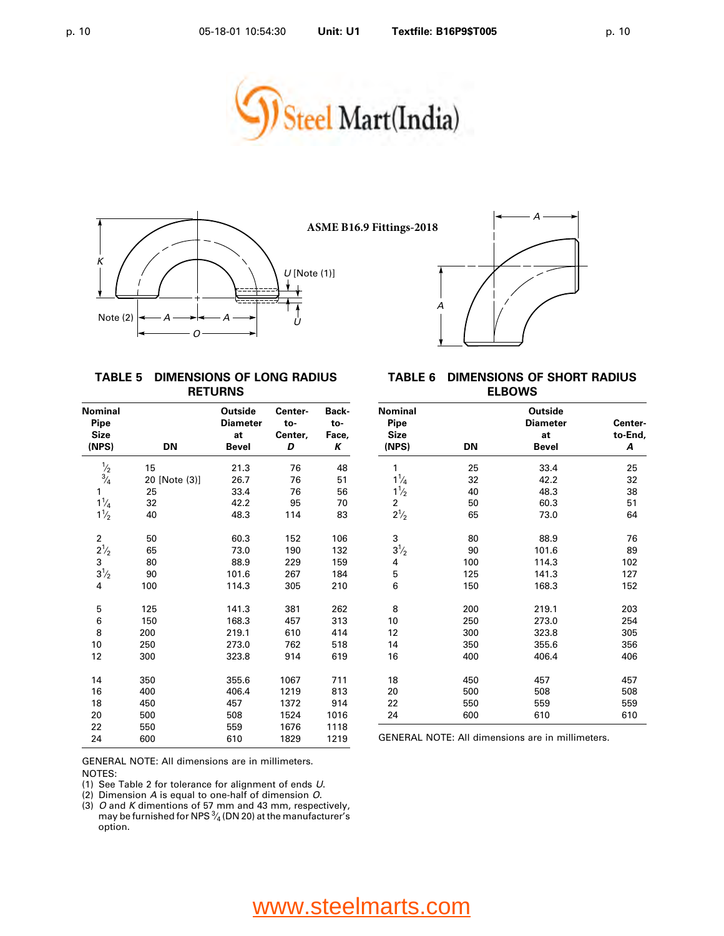





#### **TABLE 5 DIMENSIONS OF LONG RADIUS RETURNS**

| <b>Nominal</b><br>Pipe<br><b>Size</b> |               | Outside<br><b>Diameter</b><br>at | Center-<br>to-<br>Center, | Back-<br>to-<br>Face, |
|---------------------------------------|---------------|----------------------------------|---------------------------|-----------------------|
| (NPS)                                 | <b>DN</b>     | Bevel                            | D                         | Κ                     |
| $\frac{1}{2}$                         | 15            | 21.3                             | 76                        | 48                    |
| $\frac{3}{4}$                         | 20 [Note (3)] | 26.7                             | 76                        | 51                    |
| 1                                     | 25            | 33.4                             | 76                        | 56                    |
| $1\frac{1}{4}$                        | 32            | 42.2                             | 95                        | 70                    |
| $1\frac{1}{2}$                        | 40            | 48.3                             | 114                       | 83                    |
| 2                                     | 50            | 60.3                             | 152                       | 106                   |
| $2\frac{1}{2}$                        | 65            | 73.0                             | 190                       | 132                   |
| 3                                     | 80            | 88.9                             | 229                       | 159                   |
| $3\frac{1}{2}$                        | 90            | 101.6                            | 267                       | 184                   |
| 4                                     | 100           | 114.3                            | 305                       | 210                   |
| 5                                     | 125           | 141.3                            | 381                       | 262                   |
| 6                                     | 150           | 168.3                            | 457                       | 313                   |
| 8                                     | 200           | 219.1                            | 610                       | 414                   |
| 10                                    | 250           | 273.0                            | 762                       | 518                   |
| 12                                    | 300           | 323.8                            | 914                       | 619                   |
| 14                                    | 350           | 355.6                            | 1067                      | 711                   |
| 16                                    | 400           | 406.4                            | 1219                      | 813                   |
| 18                                    | 450           | 457                              | 1372                      | 914                   |
| 20                                    | 500           | 508                              | 1524                      | 1016                  |
| 22                                    | 550           | 559                              | 1676                      | 1118                  |
| 24                                    | 600           | 610                              | 1829                      | 1219                  |

#### **TABLE 6 DIMENSIONS OF SHORT RADIUS ELBOWS**

| <b>Nominal</b><br>Pipe<br><b>Size</b> |     | <b>Outside</b><br><b>Diameter</b><br>at | Center-<br>to-End, |
|---------------------------------------|-----|-----------------------------------------|--------------------|
| (NPS)                                 | DN  | Bevel                                   | A                  |
| 1                                     | 25  | 33.4                                    | 25                 |
| $1\frac{1}{4}$                        | 32  | 42.2                                    | 32                 |
| $1\frac{1}{2}$                        | 40  | 48.3                                    | 38                 |
| 2                                     | 50  | 60.3                                    | 51                 |
| $2^{1/2}$                             | 65  | 73.0                                    | 64                 |
| 3                                     | 80  | 88.9                                    | 76                 |
| $3^{1/2}$                             | 90  | 101.6                                   | 89                 |
| $\overline{4}$                        | 100 | 114.3                                   | 102                |
| 5                                     | 125 | 141.3                                   | 127                |
| 6                                     | 150 | 168.3                                   | 152                |
| 8                                     | 200 | 219.1                                   | 203                |
| 10                                    | 250 | 273.0                                   | 254                |
| 12                                    | 300 | 323.8                                   | 305                |
| 14                                    | 350 | 355.6                                   | 356                |
| 16                                    | 400 | 406.4                                   | 406                |
| 18                                    | 450 | 457                                     | 457                |
| 20                                    | 500 | 508                                     | 508                |
| 22                                    | 550 | 559                                     | 559                |
| 24                                    | 600 | 610                                     | 610                |

GENERAL NOTE: All dimensions are in millimeters.

GENERAL NOTE: All dimensions are in millimeters. NOTES:

(1) See Table 2 for tolerance for alignment of ends *U*.

(2) Dimension *A* is equal to one-half of dimension *O*.

(3) *O* and *K* dimentions of 57 mm and 43 mm, respectively,<br>may be furnished for NPS <sup>3</sup>/<sub>4</sub> (DN 20) at the manufacturer's ∕ option.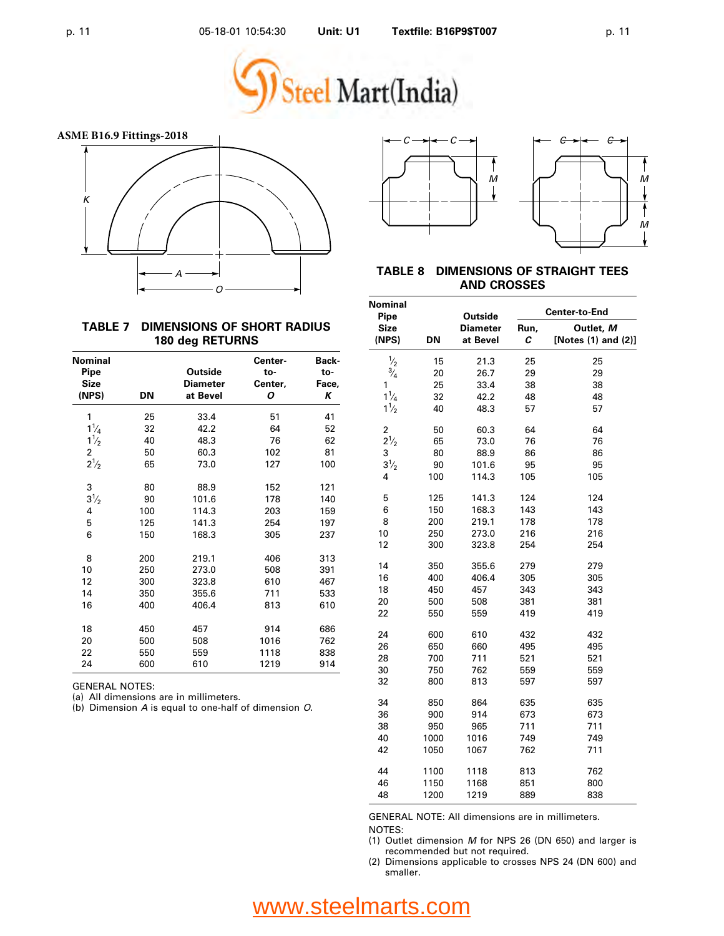



**TABLE 8 DIMENSIONS OF STRAIGHT TEES AND CROSSES**

#### **Nominal Center-to-End Pipe Outside Size Diameter Run, Outlet,** *M* **(NPS) DN at Bevel** *C* **[Notes (1) and (2)]**  $\frac{1}{2}$ ⁄  $\frac{1}{2}$  15 21.3 25 25<br>3. 20 26.7 29 29 ⁄  $\frac{1}{4}$  20 26.7 29 29 1 25 33.4 38 38  $1\frac{1}{4}$ ⁄  $\frac{1}{4}$  32 42.2 48 48  $1\frac{1}{2}$ ⁄  $\frac{2}{2}$  40 48.3 57 57 2 50 60.3 64 64  $2\frac{1}{2}$ ⁄  $\frac{1}{2}$  65 73.0 76 76 3 80 88.9 86 86  $3\frac{1}{2}$ ⁄  $\frac{1}{2}$  90 101.6 95 95 4 100 114.3 105 105 5 125 141.3 124 124 6 150 168.3 143 143 8 200 219.1 178 178 10 250 273.0 216 216 12 300 323.8 254 254 14 350 355.6 279 279 16 400 406.4 305 305 18 450 457 343 343 20 500 508 381 381 22 550 559 419 419 24 600 610 432 432 26 650 660 495 495 28 700 711 521 521 30 750 762 559 559 32 800 813 597 597 34 850 864 635 635 36 900 914 673 673 38 950 965 711 711 40 1000 1016 749 749 42 1050 1067 762 711

GENERAL NOTE: All dimensions are in millimeters. NOTES:

44 1100 1118 813 762 46 1150 1168 851 800 48 1200 1219 889 838

(1) Outlet dimension *M* for NPS 26 (DN 650) and larger is recommended but not required.

(2) Dimensions applicable to crosses NPS 24 (DN 600) and smaller.

#### **TABLE 7 DIMENSIONS OF SHORT RADIUS 180 deg RETURNS**

| Nominal        |     |                 | Center- | Back- |
|----------------|-----|-----------------|---------|-------|
| Pipe           |     | Outside         | to-     | to-   |
| <b>Size</b>    |     | <b>Diameter</b> | Center, | Face, |
| (NPS)          | DN  | at Bevel        | Ο       | Κ     |
| 1              | 25  | 33.4            | 51      | 41    |
| $1\frac{1}{4}$ | 32  | 42.2            | 64      | 52    |
| $1\frac{1}{2}$ | 40  | 48.3            | 76      | 62    |
| 2              | 50  | 60.3            | 102     | 81    |
| $2^{1/2}$      | 65  | 73.0            | 127     | 100   |
| 3              | 80  | 88.9            | 152     | 121   |
| $3^{1/2}$      | 90  | 101.6           | 178     | 140   |
| 4              | 100 | 114.3           | 203     | 159   |
| 5              | 125 | 141.3           | 254     | 197   |
| 6              | 150 | 168.3           | 305     | 237   |
| 8              | 200 | 219.1           | 406     | 313   |
| 10             | 250 | 273.0           | 508     | 391   |
| 12             | 300 | 323.8           | 610     | 467   |
| 14             | 350 | 355.6           | 711     | 533   |
| 16             | 400 | 406.4           | 813     | 610   |
| 18             | 450 | 457             | 914     | 686   |
| 20             | 500 | 508             | 1016    | 762   |
| 22             | 550 | 559             | 1118    | 838   |
| 24             | 600 | 610             | 1219    | 914   |

GENERAL NOTES:

(a) All dimensions are in millimeters.

(b) Dimension *A* is equal to one-half of dimension *O*.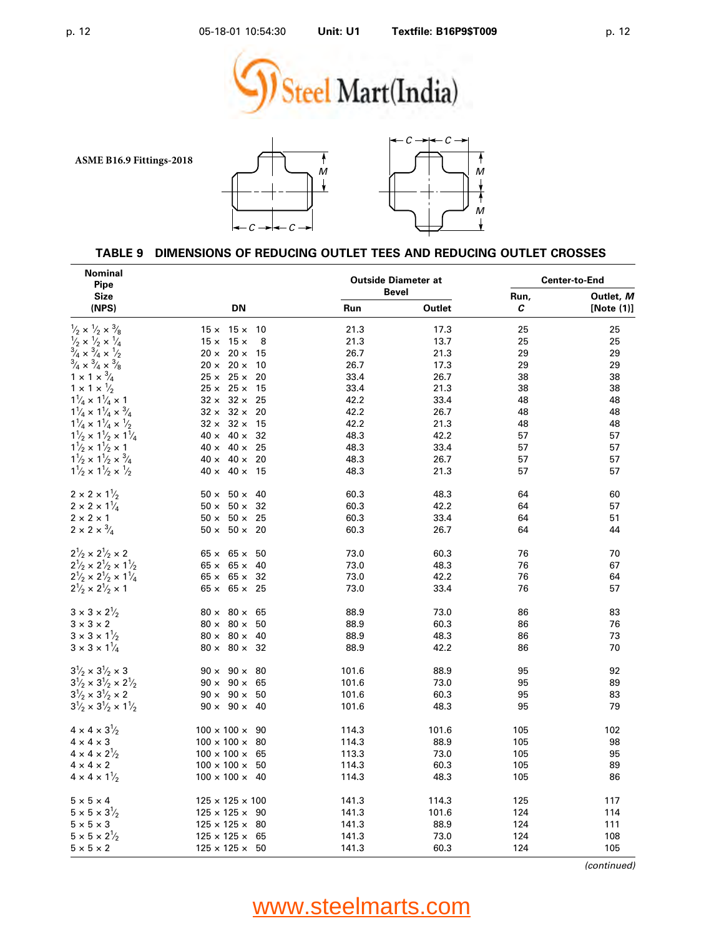





### **TABLE 9 DIMENSIONS OF REDUCING OUTLET TEES AND REDUCING OUTLET CROSSES**

| <b>Nominal</b><br><b>Pipe</b>                                                                                                                                                                     |                               |       | <b>Outside Diameter at</b> | <b>Center-to-End</b> |                            |
|---------------------------------------------------------------------------------------------------------------------------------------------------------------------------------------------------|-------------------------------|-------|----------------------------|----------------------|----------------------------|
| <b>Size</b><br>(NPS)                                                                                                                                                                              | DN                            | Run   | <b>Bevel</b><br>Outlet     | Run,<br>С            | Outlet, M<br>[Note $(1)$ ] |
| $\frac{1}{2} \times \frac{1}{2} \times \frac{3}{8}$                                                                                                                                               | $15 \times 15 \times$<br>10   | 21.3  | 17.3                       | 25                   | 25                         |
|                                                                                                                                                                                                   | $15 \times 15 \times$<br>8    | 21.3  | 13.7                       | 25                   | 25                         |
| $\frac{1}{3}/2 \times \frac{1}{4} \times \frac{1}{4}$<br>$\frac{3}{4} \times \frac{3}{4} \times \frac{1}{2}$                                                                                      | $20 \times 20 \times$<br>15   | 26.7  | 21.3                       | 29                   | 29                         |
| $\frac{3}{4} \times \frac{3}{4} \times \frac{3}{8}$                                                                                                                                               | $20 \times 20 \times$<br>10   | 26.7  | 17.3                       | 29                   | 29                         |
| $1 \times 1 \times \frac{3}{4}$                                                                                                                                                                   | $25 \times 25 \times$<br>20   | 33.4  | 26.7                       | 38                   | 38                         |
| $1 \times 1 \times \frac{1}{2}$                                                                                                                                                                   | $25 \times 25 \times$<br>-15  | 33.4  | 21.3                       | 38                   | 38                         |
| $1\frac{1}{4} \times 1\frac{1}{4} \times 1$                                                                                                                                                       | $32 \times 32 \times$<br>25   | 42.2  | 33.4                       | 48                   | 48                         |
| $1\frac{1}{4} \times 1\frac{1}{4} \times \frac{3}{4}$                                                                                                                                             | $32 \times 32 \times$<br>20   | 42.2  | 26.7                       | 48                   | 48                         |
|                                                                                                                                                                                                   | $32 \times 32 \times$<br>15   | 42.2  | 21.3                       | 48                   | 48                         |
| $\begin{array}{l} 1\textsuperscript{1}_4\times 1\textsuperscript{1}_4\times \textsuperscript{1}_2\\ 1\textsuperscript{1}_2\times 1\textsuperscript{1}_2\times 1\textsuperscript{1}_4 \end{array}$ | $40 \times 40 \times$<br>32   | 48.3  | 42.2                       | 57                   | 57                         |
| $1\frac{1}{2} \times 1\frac{1}{2} \times 1$                                                                                                                                                       | $40 \times 40 \times$<br>25   | 48.3  | 33.4                       | 57                   | 57                         |
| $1\frac{1}{2} \times 1\frac{1}{2} \times \frac{3}{4}$                                                                                                                                             | $40 \times 40 \times$<br>20   | 48.3  | 26.7                       | 57                   | 57                         |
| $1\frac{1}{2} \times 1\frac{1}{2} \times \frac{1}{2}$                                                                                                                                             | $40 \times 40 \times$<br>15   | 48.3  | 21.3                       | 57                   | 57                         |
| $2 \times 2 \times 1\frac{1}{2}$                                                                                                                                                                  | $50 \times 50 \times$<br>40   | 60.3  | 48.3                       | 64                   | 60                         |
| $2 \times 2 \times 1\frac{1}{4}$                                                                                                                                                                  | $50 \times 50 \times$<br>32   | 60.3  | 42.2                       | 64                   | 57                         |
| $2 \times 2 \times 1$                                                                                                                                                                             | $50 \times 50 \times$<br>25   | 60.3  | 33.4                       | 64                   | 51                         |
| $2 \times 2 \times \sqrt[3]{4}$                                                                                                                                                                   | $50 \times 50 \times 20$      | 60.3  | 26.7                       | 64                   | 44                         |
| $2^{1/2} \times 2^{1/2} \times 2$                                                                                                                                                                 | $65 \times 65 \times$<br>50   | 73.0  | 60.3                       | 76                   | 70                         |
| $2\frac{1}{2}\times2\frac{1}{2}\times1\frac{1}{2}$                                                                                                                                                | $65 \times 65 \times$<br>40   | 73.0  | 48.3                       | 76                   | 67                         |
| $2\frac{1}{2} \times 2\frac{1}{2} \times 1\frac{1}{4}$                                                                                                                                            | $65 \times 65 \times$<br>32   | 73.0  | 42.2                       | 76                   | 64                         |
| $2\frac{1}{2} \times 2\frac{1}{2} \times 1$                                                                                                                                                       | $65 \times 65 \times$<br>25   | 73.0  | 33.4                       | 76                   | 57                         |
| $3 \times 3 \times 2\frac{1}{2}$                                                                                                                                                                  | $80 \times 80 \times$<br>65   | 88.9  | 73.0                       | 86                   | 83                         |
| $3 \times 3 \times 2$                                                                                                                                                                             | $80 \times 80 \times$<br>50   | 88.9  | 60.3                       | 86                   | 76                         |
| $3 \times 3 \times 1\frac{1}{2}$                                                                                                                                                                  | $80 \times 80 \times$<br>40   | 88.9  | 48.3                       | 86                   | 73                         |
| $3 \times 3 \times 1\frac{1}{4}$                                                                                                                                                                  | $80 \times 80 \times 32$      | 88.9  | 42.2                       | 86                   | 70                         |
| $3\frac{1}{2} \times 3\frac{1}{2} \times 3$                                                                                                                                                       | $90 \times 90 \times 80$      | 101.6 | 88.9                       | 95                   | 92                         |
| $3^1\!/_2\times 3^1\!/_2\times 2^1\!/_2$                                                                                                                                                          | $90 \times 90 \times$<br>65   | 101.6 | 73.0                       | 95                   | 89                         |
| $3\frac{1}{2} \times 3\frac{1}{2} \times 2$                                                                                                                                                       | $90 \times 90 \times$<br>50   | 101.6 | 60.3                       | 95                   | 83                         |
| $3\frac{1}{2} \times 3\frac{1}{2} \times 1\frac{1}{2}$                                                                                                                                            | $90 \times 90 \times$<br>40   | 101.6 | 48.3                       | 95                   | 79                         |
| $4 \times 4 \times 3\frac{1}{2}$                                                                                                                                                                  | $100 \times 100 \times$<br>90 | 114.3 | 101.6                      | 105                  | 102                        |
| $4 \times 4 \times 3$                                                                                                                                                                             | $100 \times 100 \times$<br>80 | 114.3 | 88.9                       | 105                  | 98                         |
| $4 \times 4 \times 2\frac{1}{2}$                                                                                                                                                                  | $100 \times 100 \times$<br>65 | 113.3 | 73.0                       | 105                  | 95                         |
| $4 \times 4 \times 2$                                                                                                                                                                             | $100 \times 100 \times$<br>50 | 114.3 | 60.3                       | 105                  | 89                         |
| $4 \times 4 \times 1\frac{1}{2}$                                                                                                                                                                  | $100 \times 100 \times 40$    | 114.3 | 48.3                       | 105                  | 86                         |
| $5\times5\times4$                                                                                                                                                                                 | $125 \times 125 \times 100$   | 141.3 | 114.3                      | 125                  | 117                        |
| $5\times 5\times 3\frac{1}{2}$                                                                                                                                                                    | $125 \times 125 \times$<br>90 | 141.3 | 101.6                      | 124                  | 114                        |
| $5 \times 5 \times 3$                                                                                                                                                                             | $125 \times 125 \times 80$    | 141.3 | 88.9                       | 124                  | 111                        |
| $5 \times 5 \times 2\frac{1}{2}$                                                                                                                                                                  | $125 \times 125 \times$<br>65 | 141.3 | 73.0                       | 124                  | 108                        |
| $5 \times 5 \times 2$                                                                                                                                                                             | $125 \times 125 \times 50$    | 141.3 | 60.3                       | 124                  | 105                        |

*(continued)*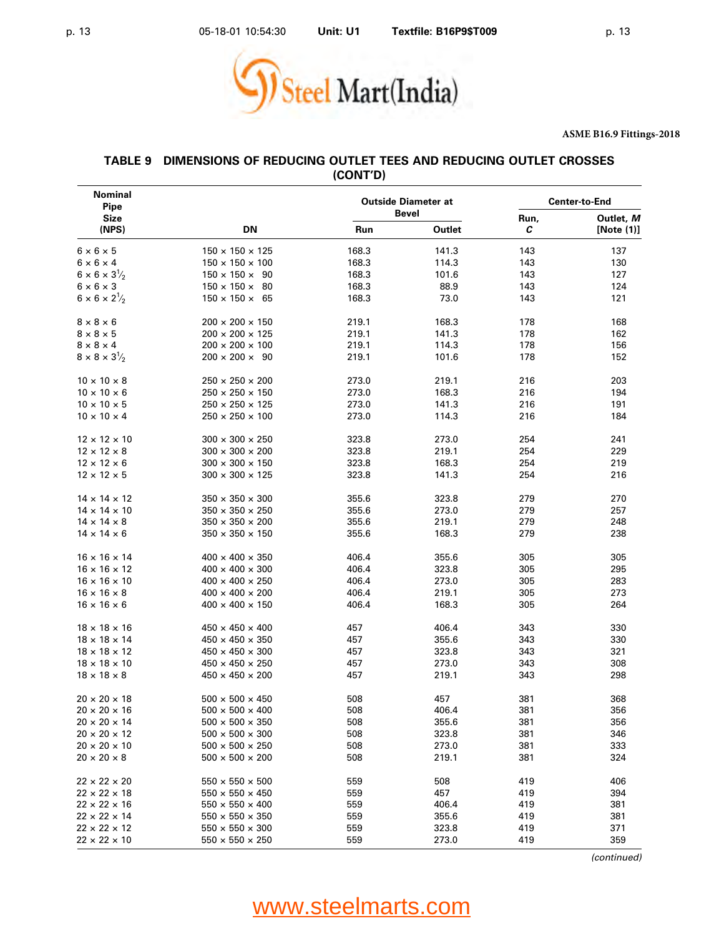

| Nominal<br>Pipe                  |                             |       | <b>Outside Diameter at</b><br><b>Bevel</b> | <b>Center-to-End</b> |                         |  |
|----------------------------------|-----------------------------|-------|--------------------------------------------|----------------------|-------------------------|--|
| Size<br>(NPS)                    | DN                          | Run   | Outlet                                     | Run,<br>C            | Outlet, M<br>[Note (1)] |  |
| $6 \times 6 \times 5$            | $150 \times 150 \times 125$ | 168.3 | 141.3                                      | 143                  | 137                     |  |
| $6 \times 6 \times 4$            | $150 \times 150 \times 100$ | 168.3 | 114.3                                      | 143                  | 130                     |  |
| $6 \times 6 \times 3\frac{1}{2}$ | $150 \times 150 \times 90$  | 168.3 | 101.6                                      | 143                  | 127                     |  |
| $6 \times 6 \times 3$            | $150 \times 150 \times 80$  | 168.3 | 88.9                                       | 143                  | 124                     |  |
| $6 \times 6 \times 2\frac{1}{2}$ | $150 \times 150 \times 65$  | 168.3 | 73.0                                       | 143                  | 121                     |  |
| $8 \times 8 \times 6$            | $200 \times 200 \times 150$ | 219.1 | 168.3                                      | 178                  | 168                     |  |
| $8 \times 8 \times 5$            | $200 \times 200 \times 125$ | 219.1 | 141.3                                      | 178                  | 162                     |  |
| $8 \times 8 \times 4$            | $200 \times 200 \times 100$ | 219.1 | 114.3                                      | 178                  | 156                     |  |
| $8 \times 8 \times 3\frac{1}{2}$ | $200 \times 200 \times 90$  | 219.1 | 101.6                                      | 178                  | 152                     |  |
| $10 \times 10 \times 8$          | $250 \times 250 \times 200$ | 273.0 | 219.1                                      | 216                  | 203                     |  |
| $10 \times 10 \times 6$          | $250 \times 250 \times 150$ | 273.0 | 168.3                                      | 216                  | 194                     |  |
| $10 \times 10 \times 5$          | $250 \times 250 \times 125$ | 273.0 | 141.3                                      | 216                  | 191                     |  |
| $10 \times 10 \times 4$          | $250 \times 250 \times 100$ | 273.0 | 114.3                                      | 216                  | 184                     |  |
| $12 \times 12 \times 10$         | $300 \times 300 \times 250$ | 323.8 | 273.0                                      | 254                  | 241                     |  |
| $12 \times 12 \times 8$          | $300 \times 300 \times 200$ | 323.8 | 219.1                                      | 254                  | 229                     |  |
| $12 \times 12 \times 6$          | $300 \times 300 \times 150$ | 323.8 | 168.3                                      | 254                  | 219                     |  |
| $12 \times 12 \times 5$          | $300 \times 300 \times 125$ | 323.8 | 141.3                                      | 254                  | 216                     |  |
| $14 \times 14 \times 12$         | $350 \times 350 \times 300$ | 355.6 | 323.8                                      | 279                  | 270                     |  |
| $14 \times 14 \times 10$         | $350 \times 350 \times 250$ | 355.6 | 273.0                                      | 279                  | 257                     |  |
| $14 \times 14 \times 8$          | $350 \times 350 \times 200$ | 355.6 | 219.1                                      | 279                  | 248                     |  |
| $14 \times 14 \times 6$          | $350 \times 350 \times 150$ | 355.6 | 168.3                                      | 279                  | 238                     |  |
| $16 \times 16 \times 14$         | $400 \times 400 \times 350$ | 406.4 | 355.6                                      | 305                  | 305                     |  |
| $16 \times 16 \times 12$         | $400 \times 400 \times 300$ | 406.4 | 323.8                                      | 305                  | 295                     |  |
| $16 \times 16 \times 10$         | $400 \times 400 \times 250$ | 406.4 | 273.0                                      | 305                  | 283                     |  |
| $16 \times 16 \times 8$          | $400 \times 400 \times 200$ | 406.4 | 219.1                                      | 305                  | 273                     |  |
| $16 \times 16 \times 6$          | $400 \times 400 \times 150$ | 406.4 | 168.3                                      | 305                  | 264                     |  |
| $18 \times 18 \times 16$         | $450 \times 450 \times 400$ | 457   | 406.4                                      | 343                  | 330                     |  |
| $18 \times 18 \times 14$         | $450 \times 450 \times 350$ | 457   | 355.6                                      | 343                  | 330                     |  |
| $18 \times 18 \times 12$         | $450 \times 450 \times 300$ | 457   | 323.8                                      | 343                  | 321                     |  |
| $18 \times 18 \times 10$         | $450 \times 450 \times 250$ | 457   | 273.0                                      | 343                  | 308                     |  |
| $18 \times 18 \times 8$          | $450 \times 450 \times 200$ | 457   | 219.1                                      | 343                  | 298                     |  |
| $20 \times 20 \times 18$         | $500 \times 500 \times 450$ | 508   | 457                                        | 381                  | 368                     |  |
| $20 \times 20 \times 16$         | $500 \times 500 \times 400$ | 508   | 406.4                                      | 381                  | 356                     |  |
| $20 \times 20 \times 14$         | $500 \times 500 \times 350$ | 508   | 355.6                                      | 381                  | 356                     |  |
| $20 \times 20 \times 12$         | $500 \times 500 \times 300$ | 508   | 323.8                                      | 381                  | 346                     |  |
| $20 \times 20 \times 10$         | $500 \times 500 \times 250$ | 508   | 273.0                                      | 381                  | 333                     |  |
| $20 \times 20 \times 8$          | $500 \times 500 \times 200$ | 508   | 219.1                                      | 381                  | 324                     |  |
| $22 \times 22 \times 20$         | $550 \times 550 \times 500$ | 559   | 508                                        | 419                  | 406                     |  |
| $22 \times 22 \times 18$         | $550 \times 550 \times 450$ | 559   | 457                                        | 419                  | 394                     |  |
| $22 \times 22 \times 16$         | $550 \times 550 \times 400$ | 559   | 406.4                                      | 419                  | 381                     |  |
| $22 \times 22 \times 14$         | $550 \times 550 \times 350$ | 559   | 355.6                                      | 419                  | 381                     |  |
| $22 \times 22 \times 12$         | $550 \times 550 \times 300$ | 559   | 323.8                                      | 419                  | 371                     |  |
| $22 \times 22 \times 10$         | $550 \times 550 \times 250$ | 559   | 273.0                                      | 419                  | 359                     |  |

#### **TABLE 9 DIMENSIONS OF REDUCING OUTLET TEES AND REDUCING OUTLET CROSSES (CONT'D)**

*(continued)*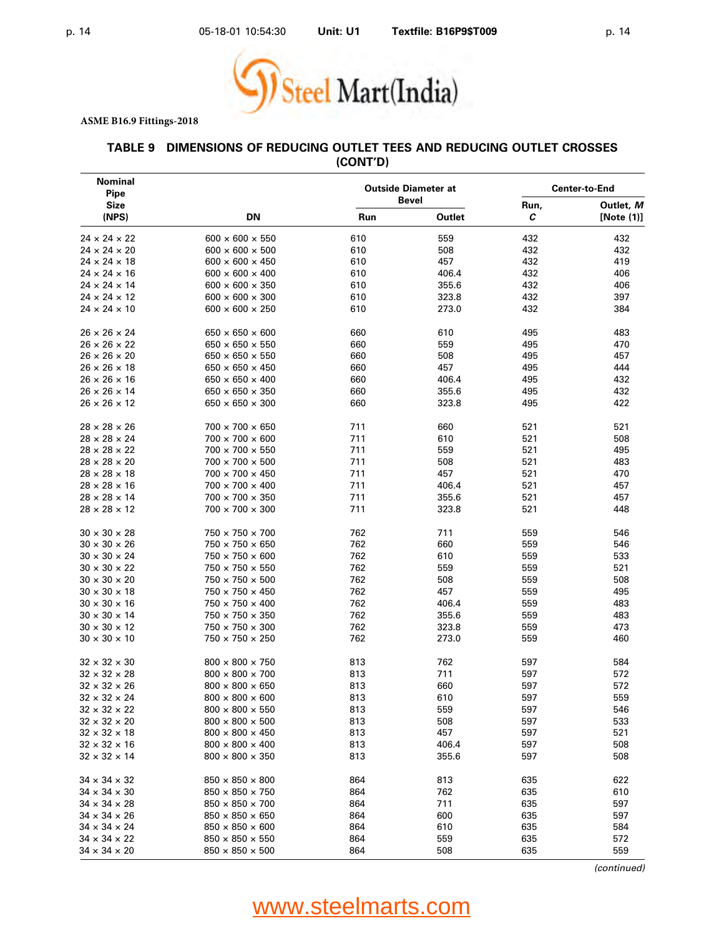

#### **TABLE 9 DIMENSIONS OF REDUCING OUTLET TEES AND REDUCING OUTLET CROSSES (CONT'D)**

| Nominal<br>Pipe          | <b>Outside Diameter at</b><br><b>Bevel</b> |     |        | <b>Center-to-End</b> |                         |  |
|--------------------------|--------------------------------------------|-----|--------|----------------------|-------------------------|--|
| <b>Size</b><br>(NPS)     | <b>DN</b>                                  | Run | Outlet | Run,<br>С            | Outlet, M<br>[Note (1)] |  |
| $24 \times 24 \times 22$ | $600 \times 600 \times 550$                | 610 | 559    | 432                  | 432                     |  |
| $24 \times 24 \times 20$ | $600 \times 600 \times 500$                | 610 | 508    | 432                  | 432                     |  |
| $24 \times 24 \times 18$ | $600 \times 600 \times 450$                | 610 | 457    | 432                  | 419                     |  |
| $24 \times 24 \times 16$ | $600 \times 600 \times 400$                | 610 | 406.4  | 432                  | 406                     |  |
| $24 \times 24 \times 14$ | $600 \times 600 \times 350$                | 610 | 355.6  | 432                  | 406                     |  |
| $24 \times 24 \times 12$ | $600 \times 600 \times 300$                | 610 | 323.8  | 432                  | 397                     |  |
| $24 \times 24 \times 10$ | $600 \times 600 \times 250$                | 610 | 273.0  | 432                  | 384                     |  |
| $26 \times 26 \times 24$ | $650 \times 650 \times 600$                | 660 | 610    | 495                  | 483                     |  |
| $26 \times 26 \times 22$ | $650 \times 650 \times 550$                | 660 | 559    | 495                  | 470                     |  |
| $26 \times 26 \times 20$ | $650 \times 650 \times 550$                | 660 | 508    | 495                  | 457                     |  |
| $26 \times 26 \times 18$ | $650 \times 650 \times 450$                | 660 | 457    | 495                  | 444                     |  |
| $26 \times 26 \times 16$ | $650 \times 650 \times 400$                | 660 | 406.4  | 495                  | 432                     |  |
| $26 \times 26 \times 14$ | $650 \times 650 \times 350$                | 660 | 355.6  | 495                  | 432                     |  |
| $26 \times 26 \times 12$ | $650 \times 650 \times 300$                | 660 | 323.8  | 495                  | 422                     |  |
| $28 \times 28 \times 26$ | $700 \times 700 \times 650$                | 711 | 660    | 521                  | 521                     |  |
| $28 \times 28 \times 24$ | 700 × 700 × 600                            | 711 | 610    | 521                  | 508                     |  |
| $28 \times 28 \times 22$ | 700 × 700 × 550                            | 711 | 559    | 521                  | 495                     |  |
| $28 \times 28 \times 20$ | $700 \times 700 \times 500$                | 711 | 508    | 521                  | 483                     |  |
| $28 \times 28 \times 18$ | $700 \times 700 \times 450$                | 711 | 457    | 521                  | 470                     |  |
| $28 \times 28 \times 16$ | $700 \times 700 \times 400$                | 711 | 406.4  | 521                  | 457                     |  |
| $28 \times 28 \times 14$ | $700 \times 700 \times 350$                | 711 | 355.6  | 521                  | 457                     |  |
| $28 \times 28 \times 12$ | $700 \times 700 \times 300$                | 711 | 323.8  | 521                  | 448                     |  |
| $30 \times 30 \times 28$ | $750 \times 750 \times 700$                | 762 | 711    | 559                  | 546                     |  |
| $30 \times 30 \times 26$ | 750 × 750 × 650                            | 762 | 660    | 559                  | 546                     |  |
| $30 \times 30 \times 24$ | $750 \times 750 \times 600$                | 762 | 610    | 559                  | 533                     |  |
| $30 \times 30 \times 22$ | $750 \times 750 \times 550$                | 762 | 559    | 559                  | 521                     |  |
| $30 \times 30 \times 20$ | $750 \times 750 \times 500$                | 762 | 508    | 559                  | 508                     |  |
| $30 \times 30 \times 18$ | $750 \times 750 \times 450$                | 762 | 457    | 559                  | 495                     |  |
| $30 \times 30 \times 16$ | $750 \times 750 \times 400$                | 762 | 406.4  | 559                  | 483                     |  |
| $30 \times 30 \times 14$ | $750 \times 750 \times 350$                | 762 | 355.6  | 559                  | 483                     |  |
| $30 \times 30 \times 12$ | $750 \times 750 \times 300$                | 762 | 323.8  | 559                  | 473                     |  |
| $30 \times 30 \times 10$ | $750 \times 750 \times 250$                | 762 | 273.0  | 559                  | 460                     |  |
| $32 \times 32 \times 30$ | $800 \times 800 \times 750$                | 813 | 762    | 597                  | 584                     |  |
| $32 \times 32 \times 28$ | $800 \times 800 \times 700$                | 813 | 711    | 597                  | 572                     |  |
| $32 \times 32 \times 26$ | $800 \times 800 \times 650$                | 813 | 660    | 597                  | 572                     |  |
| $32 \times 32 \times 24$ | $800 \times 800 \times 600$                | 813 | 610    | 597                  | 559                     |  |
| $32 \times 32 \times 22$ | $800 \times 800 \times 550$                | 813 | 559    | 597                  | 546                     |  |
| $32 \times 32 \times 20$ | $800 \times 800 \times 500$                | 813 | 508    | 597                  | 533                     |  |
| $32 \times 32 \times 18$ | $800 \times 800 \times 450$                | 813 | 457    | 597                  | 521                     |  |
| $32 \times 32 \times 16$ | $800 \times 800 \times 400$                | 813 | 406.4  | 597                  | 508                     |  |
| $32 \times 32 \times 14$ | $800 \times 800 \times 350$                | 813 | 355.6  | 597                  | 508                     |  |
| $34 \times 34 \times 32$ | $850 \times 850 \times 800$                | 864 | 813    | 635                  | 622                     |  |
| $34 \times 34 \times 30$ | $850 \times 850 \times 750$                | 864 | 762    | 635                  | 610                     |  |
| $34 \times 34 \times 28$ | $850 \times 850 \times 700$                | 864 | 711    | 635                  | 597                     |  |
| $34 \times 34 \times 26$ | $850 \times 850 \times 650$                | 864 | 600    | 635                  | 597                     |  |
| $34 \times 34 \times 24$ | $850 \times 850 \times 600$                | 864 | 610    | 635                  | 584                     |  |
| $34 \times 34 \times 22$ | $850 \times 850 \times 550$                | 864 | 559    | 635                  | 572                     |  |
| $34 \times 34 \times 20$ | $850 \times 850 \times 500$                | 864 | 508    | 635                  | 559                     |  |

*(continued)*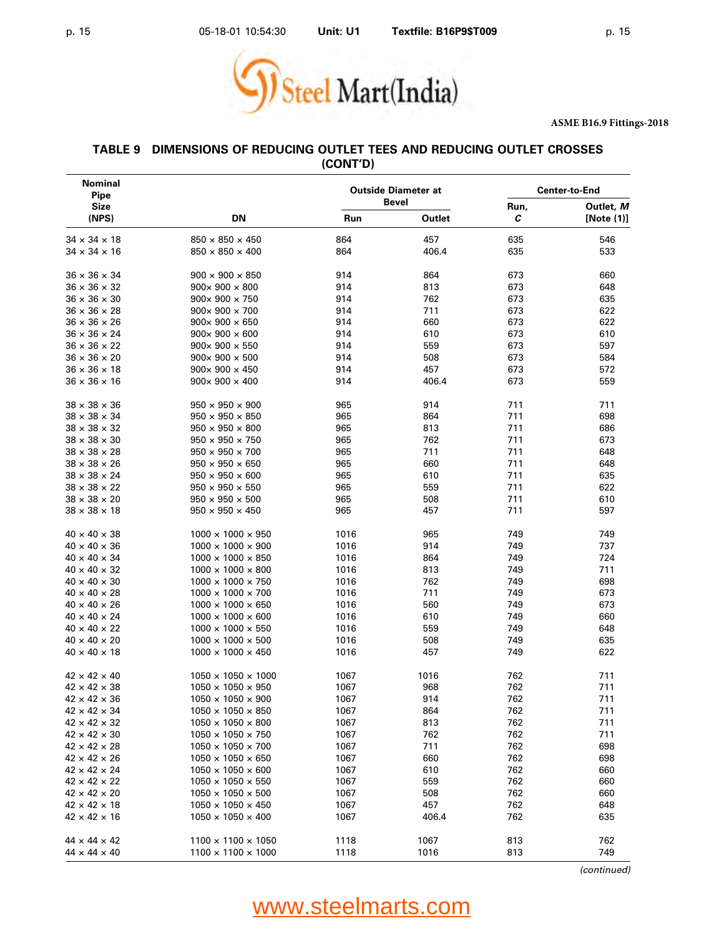

#### **TABLE 9 DIMENSIONS OF REDUCING OUTLET TEES AND REDUCING OUTLET CROSSES (CONT'D)**

| <b>Nominal</b><br>Pipe                               |                                                                 |              | <b>Outside Diameter at</b> | <b>Center-to-End</b> |            |  |
|------------------------------------------------------|-----------------------------------------------------------------|--------------|----------------------------|----------------------|------------|--|
| <b>Size</b><br>(NPS)                                 | DN                                                              |              | <b>Bevel</b><br>Outlet     | Run,                 | Outlet, M  |  |
|                                                      |                                                                 | Run          |                            | с                    | [Note (1)] |  |
| $34 \times 34 \times 18$                             | $850 \times 850 \times 450$                                     | 864          | 457                        | 635                  | 546        |  |
| $34 \times 34 \times 16$                             | $850 \times 850 \times 400$                                     | 864          | 406.4                      | 635                  | 533        |  |
| $36 \times 36 \times 34$                             | $900 \times 900 \times 850$                                     | 914          | 864                        | 673                  | 660        |  |
| $36 \times 36 \times 32$                             | $900 \times 900 \times 800$                                     | 914          | 813                        | 673                  | 648        |  |
| $36 \times 36 \times 30$                             | $900 \times 900 \times 750$                                     | 914          | 762                        | 673                  | 635        |  |
| $36 \times 36 \times 28$                             | $900 \times 900 \times 700$                                     | 914          | 711                        | 673                  | 622        |  |
| $36 \times 36 \times 26$                             | $900 \times 900 \times 650$                                     | 914          | 660                        | 673                  | 622        |  |
| $36 \times 36 \times 24$                             | $900 \times 900 \times 600$                                     | 914          | 610                        | 673                  | 610        |  |
| $36 \times 36 \times 22$                             | $900 \times 900 \times 550$                                     | 914          | 559                        | 673                  | 597        |  |
| $36 \times 36 \times 20$                             | $900 \times 900 \times 500$                                     | 914          | 508                        | 673                  | 584        |  |
| $36 \times 36 \times 18$                             | $900 \times 900 \times 450$                                     | 914          | 457                        | 673                  | 572        |  |
| $36 \times 36 \times 16$                             | $900 \times 900 \times 400$                                     | 914          | 406.4                      | 673                  | 559        |  |
| $38 \times 38 \times 36$                             | $950 \times 950 \times 900$                                     | 965          | 914                        | 711                  | 711        |  |
| $38 \times 38 \times 34$                             | $950 \times 950 \times 850$                                     | 965          | 864                        | 711                  | 698        |  |
| $38 \times 38 \times 32$                             | $950 \times 950 \times 800$                                     | 965          | 813                        | 711                  | 686        |  |
| $38 \times 38 \times 30$                             | $950 \times 950 \times 750$                                     | 965          | 762                        | 711                  | 673        |  |
| $38 \times 38 \times 28$                             | $950 \times 950 \times 700$                                     | 965          | 711                        | 711                  | 648        |  |
| $38 \times 38 \times 26$                             | $950 \times 950 \times 650$                                     | 965          | 660                        | 711                  | 648        |  |
| $38 \times 38 \times 24$                             | $950 \times 950 \times 600$                                     | 965          | 610                        | 711                  | 635        |  |
| $38 \times 38 \times 22$                             | $950 \times 950 \times 550$                                     | 965          | 559                        | 711                  | 622        |  |
| $38 \times 38 \times 20$                             | $950 \times 950 \times 500$                                     | 965          | 508                        | 711                  | 610        |  |
| $38 \times 38 \times 18$                             | $950 \times 950 \times 450$                                     | 965          | 457                        | 711                  | 597        |  |
| $40 \times 40 \times 38$                             | $1000 \times 1000 \times 950$                                   | 1016         | 965                        | 749                  | 749        |  |
| $40 \times 40 \times 36$                             | $1000 \times 1000 \times 900$                                   | 1016         | 914                        | 749                  | 737        |  |
| $40 \times 40 \times 34$                             | $1000 \times 1000 \times 850$                                   | 1016         | 864                        | 749                  | 724        |  |
| $40 \times 40 \times 32$                             | $1000 \times 1000 \times 800$                                   | 1016         | 813                        | 749                  | 711        |  |
| $40 \times 40 \times 30$                             | $1000 \times 1000 \times 750$                                   | 1016         | 762                        | 749                  | 698        |  |
| $40 \times 40 \times 28$                             | $1000 \times 1000 \times 700$                                   | 1016         | 711                        | 749                  | 673        |  |
| $40 \times 40 \times 26$                             | $1000 \times 1000 \times 650$                                   | 1016         | 560                        | 749                  | 673        |  |
| $40 \times 40 \times 24$                             | $1000 \times 1000 \times 600$                                   | 1016         | 610                        | 749                  | 660        |  |
| $40 \times 40 \times 22$                             | $1000 \times 1000 \times 550$                                   | 1016         | 559                        | 749                  | 648        |  |
| $40 \times 40 \times 20$<br>$40 \times 40 \times 18$ | $1000 \times 1000 \times 500$<br>$1000 \times 1000 \times 450$  | 1016<br>1016 | 508<br>457                 | 749<br>749           | 635<br>622 |  |
|                                                      |                                                                 |              |                            |                      |            |  |
| $42 \times 42 \times 40$<br>$42 \times 42 \times 38$ | $1050 \times 1050 \times 1000$<br>$1050 \times 1050 \times 950$ | 1067<br>1067 | 1016<br>968                | 762<br>762           | 711<br>711 |  |
| $42 \times 42 \times 36$                             | $1050 \times 1050 \times 900$                                   | 1067         | 914                        | 762                  | 711        |  |
| $42 \times 42 \times 34$                             | $1050 \times 1050 \times 850$                                   | 1067         | 864                        | 762                  | 711        |  |
| $42 \times 42 \times 32$                             | $1050 \times 1050 \times 800$                                   | 1067         | 813                        | 762                  | 711        |  |
| $42 \times 42 \times 30$                             | $1050 \times 1050 \times 750$                                   | 1067         | 762                        | 762                  | 711        |  |
| $42 \times 42 \times 28$                             | $1050 \times 1050 \times 700$                                   | 1067         | 711                        | 762                  | 698        |  |
| $42 \times 42 \times 26$                             | $1050 \times 1050 \times 650$                                   | 1067         | 660                        | 762                  | 698        |  |
| $42 \times 42 \times 24$                             | $1050 \times 1050 \times 600$                                   | 1067         | 610                        | 762                  | 660        |  |
| $42 \times 42 \times 22$                             | $1050 \times 1050 \times 550$                                   | 1067         | 559                        | 762                  | 660        |  |
| $42 \times 42 \times 20$                             | $1050 \times 1050 \times 500$                                   | 1067         | 508                        | 762                  | 660        |  |
| $42 \times 42 \times 18$                             | $1050 \times 1050 \times 450$                                   | 1067         | 457                        | 762                  | 648        |  |
| $42 \times 42 \times 16$                             | $1050 \times 1050 \times 400$                                   | 1067         | 406.4                      | 762                  | 635        |  |
| $44 \times 44 \times 42$                             | $1100 \times 1100 \times 1050$                                  | 1118         | 1067                       | 813                  | 762        |  |
| $44 \times 44 \times 40$                             | $1100 \times 1100 \times 1000$                                  | 1118         | 1016                       | 813                  | 749        |  |
|                                                      |                                                                 |              |                            |                      |            |  |

*(continued)*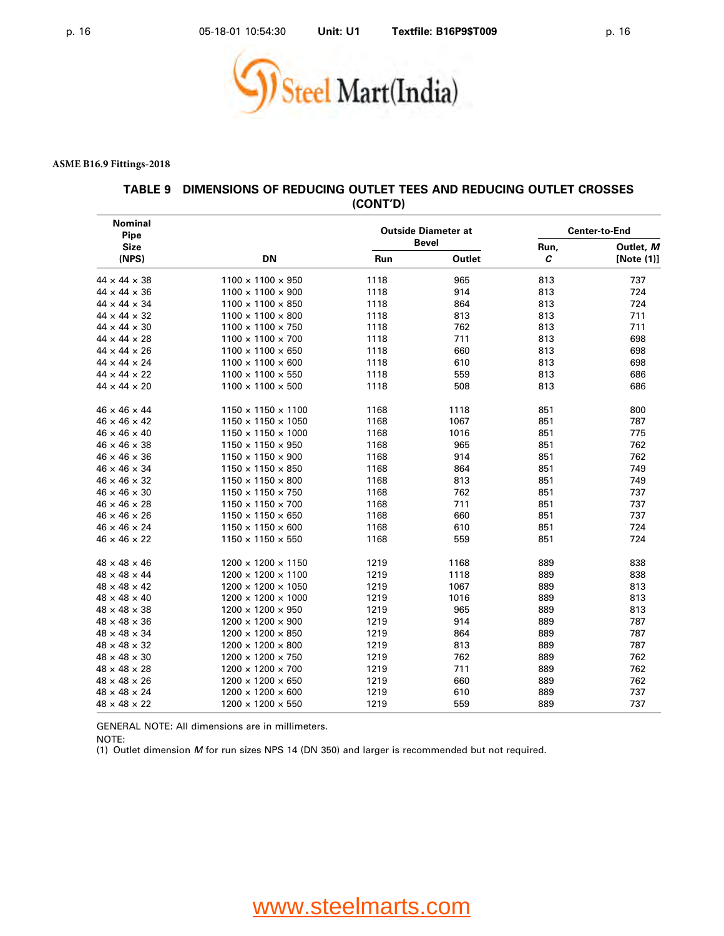

#### **TABLE 9 DIMENSIONS OF REDUCING OUTLET TEES AND REDUCING OUTLET CROSSES (CONT'D)**

| <b>Nominal</b><br>Pipe   |                                |      | <b>Outside Diameter at</b> | <b>Center-to-End</b> |                            |  |
|--------------------------|--------------------------------|------|----------------------------|----------------------|----------------------------|--|
| <b>Size</b><br>(NPS)     | <b>DN</b>                      | Run  | <b>Bevel</b><br>Outlet     | Run,<br>C            | Outlet, M<br>[Note $(1)$ ] |  |
| $44 \times 44 \times 38$ | $1100 \times 1100 \times 950$  | 1118 | 965                        | 813                  | 737                        |  |
| $44 \times 44 \times 36$ | $1100 \times 1100 \times 900$  | 1118 | 914                        | 813                  | 724                        |  |
| $44 \times 44 \times 34$ | $1100 \times 1100 \times 850$  | 1118 | 864                        | 813                  | 724                        |  |
| $44 \times 44 \times 32$ | $1100 \times 1100 \times 800$  | 1118 | 813                        | 813                  | 711                        |  |
| $44 \times 44 \times 30$ | $1100 \times 1100 \times 750$  | 1118 | 762                        | 813                  | 711                        |  |
| $44 \times 44 \times 28$ | $1100 \times 1100 \times 700$  | 1118 | 711                        | 813                  | 698                        |  |
| $44 \times 44 \times 26$ | $1100 \times 1100 \times 650$  | 1118 | 660                        | 813                  | 698                        |  |
| $44 \times 44 \times 24$ | $1100 \times 1100 \times 600$  | 1118 | 610                        | 813                  | 698                        |  |
| $44 \times 44 \times 22$ | $1100 \times 1100 \times 550$  | 1118 | 559                        | 813                  | 686                        |  |
| $44 \times 44 \times 20$ | $1100 \times 1100 \times 500$  | 1118 | 508                        | 813                  | 686                        |  |
| $46 \times 46 \times 44$ | $1150 \times 1150 \times 1100$ | 1168 | 1118                       | 851                  | 800                        |  |
| $46 \times 46 \times 42$ | $1150 \times 1150 \times 1050$ | 1168 | 1067                       | 851                  | 787                        |  |
| $46 \times 46 \times 40$ | $1150 \times 1150 \times 1000$ | 1168 | 1016                       | 851                  | 775                        |  |
| $46 \times 46 \times 38$ | $1150 \times 1150 \times 950$  | 1168 | 965                        | 851                  | 762                        |  |
| $46 \times 46 \times 36$ | $1150 \times 1150 \times 900$  | 1168 | 914                        | 851                  | 762                        |  |
| $46 \times 46 \times 34$ | $1150 \times 1150 \times 850$  | 1168 | 864                        | 851                  | 749                        |  |
| $46 \times 46 \times 32$ | $1150 \times 1150 \times 800$  | 1168 | 813                        | 851                  | 749                        |  |
| $46 \times 46 \times 30$ | $1150 \times 1150 \times 750$  | 1168 | 762                        | 851                  | 737                        |  |
| $46 \times 46 \times 28$ | $1150 \times 1150 \times 700$  | 1168 | 711                        | 851                  | 737                        |  |
| $46 \times 46 \times 26$ | $1150 \times 1150 \times 650$  | 1168 | 660                        | 851                  | 737                        |  |
| $46 \times 46 \times 24$ | $1150 \times 1150 \times 600$  | 1168 | 610                        | 851                  | 724                        |  |
| $46 \times 46 \times 22$ | $1150 \times 1150 \times 550$  | 1168 | 559                        | 851                  | 724                        |  |
| $48 \times 48 \times 46$ | $1200 \times 1200 \times 1150$ | 1219 | 1168                       | 889                  | 838                        |  |
| $48 \times 48 \times 44$ | $1200 \times 1200 \times 1100$ | 1219 | 1118                       | 889                  | 838                        |  |
| $48 \times 48 \times 42$ | $1200 \times 1200 \times 1050$ | 1219 | 1067                       | 889                  | 813                        |  |
| $48 \times 48 \times 40$ | $1200 \times 1200 \times 1000$ | 1219 | 1016                       | 889                  | 813                        |  |
| $48 \times 48 \times 38$ | $1200 \times 1200 \times 950$  | 1219 | 965                        | 889                  | 813                        |  |
| $48 \times 48 \times 36$ | $1200 \times 1200 \times 900$  | 1219 | 914                        | 889                  | 787                        |  |
| $48 \times 48 \times 34$ | $1200 \times 1200 \times 850$  | 1219 | 864                        | 889                  | 787                        |  |
| $48 \times 48 \times 32$ | $1200 \times 1200 \times 800$  | 1219 | 813                        | 889                  | 787                        |  |
| $48 \times 48 \times 30$ | $1200 \times 1200 \times 750$  | 1219 | 762                        | 889                  | 762                        |  |
| $48 \times 48 \times 28$ | $1200 \times 1200 \times 700$  | 1219 | 711                        | 889                  | 762                        |  |
| $48 \times 48 \times 26$ | $1200 \times 1200 \times 650$  | 1219 | 660                        | 889                  | 762                        |  |
| $48 \times 48 \times 24$ | $1200 \times 1200 \times 600$  | 1219 | 610                        | 889                  | 737                        |  |
| $48 \times 48 \times 22$ | $1200 \times 1200 \times 550$  | 1219 | 559                        | 889                  | 737                        |  |

GENERAL NOTE: All dimensions are in millimeters.

NOTE:

(1) Outlet dimension *M* for run sizes NPS 14 (DN 350) and larger is recommended but not required.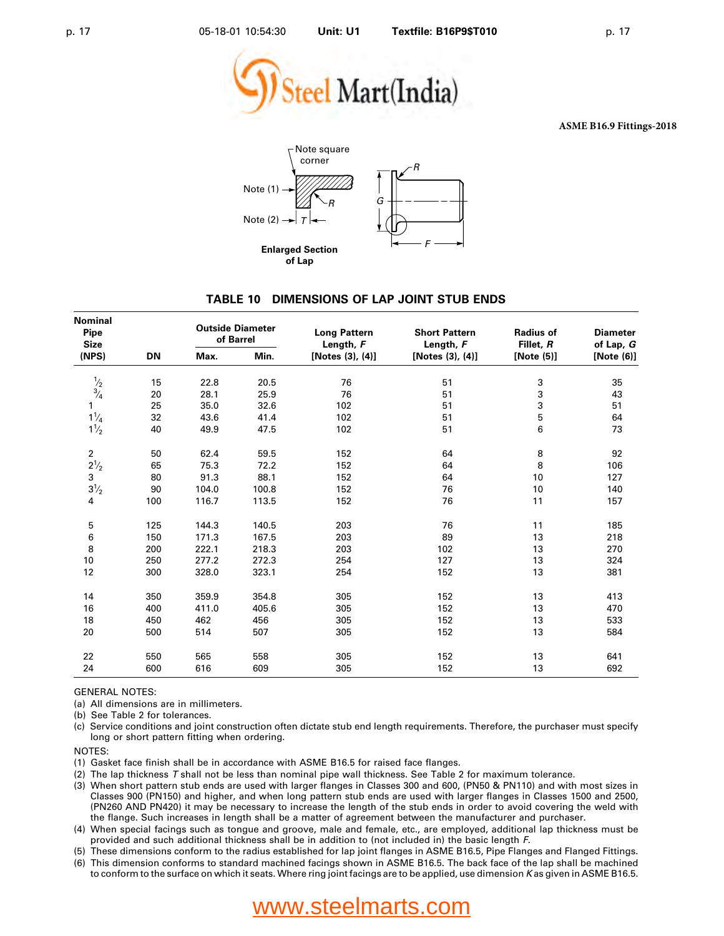



#### **TABLE 10 DIMENSIONS OF LAP JOINT STUB ENDS**

| Nominal<br><b>Pipe</b><br><b>Size</b> |           | <b>Outside Diameter</b><br>of Barrel |       | <b>Long Pattern</b><br>Length, F | <b>Short Pattern</b><br>Length, F | <b>Radius of</b><br>Fillet, R | <b>Diameter</b><br>of Lap, G |
|---------------------------------------|-----------|--------------------------------------|-------|----------------------------------|-----------------------------------|-------------------------------|------------------------------|
| (NPS)                                 | <b>DN</b> | Max.                                 | Min.  | [Notes (3), (4)]                 | [Notes (3), (4)]                  | [Note (5)]                    | [Note (6)]                   |
| $\frac{1}{2}$ $\frac{3}{4}$           | 15        | 22.8                                 | 20.5  | 76                               | 51                                | 3                             | 35                           |
|                                       | 20        | 28.1                                 | 25.9  | 76                               | 51                                | 3                             | 43                           |
| 1                                     | 25        | 35.0                                 | 32.6  | 102                              | 51                                | 3                             | 51                           |
| $1\frac{1}{4}$                        | 32        | 43.6                                 | 41.4  | 102                              | 51                                | 5                             | 64                           |
| $1\frac{1}{2}$                        | 40        | 49.9                                 | 47.5  | 102                              | 51                                | 6                             | 73                           |
| $\overline{2}$                        | 50        | 62.4                                 | 59.5  | 152                              | 64                                | 8                             | 92                           |
| $2\frac{1}{2}$                        | 65        | 75.3                                 | 72.2  | 152                              | 64                                | 8                             | 106                          |
| 3                                     | 80        | 91.3                                 | 88.1  | 152                              | 64                                | 10                            | 127                          |
| $3^{1/2}$                             | 90        | 104.0                                | 100.8 | 152                              | 76                                | 10                            | 140                          |
| 4                                     | 100       | 116.7                                | 113.5 | 152                              | 76                                | 11                            | 157                          |
| 5                                     | 125       | 144.3                                | 140.5 | 203                              | 76                                | 11                            | 185                          |
| 6                                     | 150       | 171.3                                | 167.5 | 203                              | 89                                | 13                            | 218                          |
| 8                                     | 200       | 222.1                                | 218.3 | 203                              | 102                               | 13                            | 270                          |
| 10                                    | 250       | 277.2                                | 272.3 | 254                              | 127                               | 13                            | 324                          |
| 12                                    | 300       | 328.0                                | 323.1 | 254                              | 152                               | 13                            | 381                          |
| 14                                    | 350       | 359.9                                | 354.8 | 305                              | 152                               | 13                            | 413                          |
| 16                                    | 400       | 411.0                                | 405.6 | 305                              | 152                               | 13                            | 470                          |
| 18                                    | 450       | 462                                  | 456   | 305                              | 152                               | 13                            | 533                          |
| 20                                    | 500       | 514                                  | 507   | 305                              | 152                               | 13                            | 584                          |
| 22                                    | 550       | 565                                  | 558   | 305                              | 152                               | 13                            | 641                          |
| 24                                    | 600       | 616                                  | 609   | 305                              | 152                               | 13                            | 692                          |

GENERAL NOTES:

(a) All dimensions are in millimeters.

(b) See Table 2 for tolerances.

(c) Service conditions and joint construction often dictate stub end length requirements. Therefore, the purchaser must specify long or short pattern fitting when ordering.

NOTES:

(1) Gasket face finish shall be in accordance with ASME B16.5 for raised face flanges.

(2) The lap thickness *T* shall not be less than nominal pipe wall thickness. See Table 2 for maximum tolerance.

(3) When short pattern stub ends are used with larger flanges in Classes 300 and 600, (PN50 & PN110) and with most sizes in Classes 900 (PN150) and higher, and when long pattern stub ends are used with larger flanges in Classes 1500 and 2500, (PN260 AND PN420) it may be necessary to increase the length of the stub ends in order to avoid covering the weld with the flange. Such increases in length shall be a matter of agreement between the manufacturer and purchaser.

(4) When special facings such as tongue and groove, male and female, etc., are employed, additional lap thickness must be provided and such additional thickness shall be in addition to (not included in) the basic length *F*.

(5) These dimensions conform to the radius established for lap joint flanges in ASME B16.5, Pipe Flanges and Flanged Fittings.

(6) This dimension conforms to standard machined facings shown in ASME B16.5. The back face of the lap shall be machined to conform to the surface on which it seats. Where ring joint facings are to be applied, use dimension *K* as given in ASME B16.5.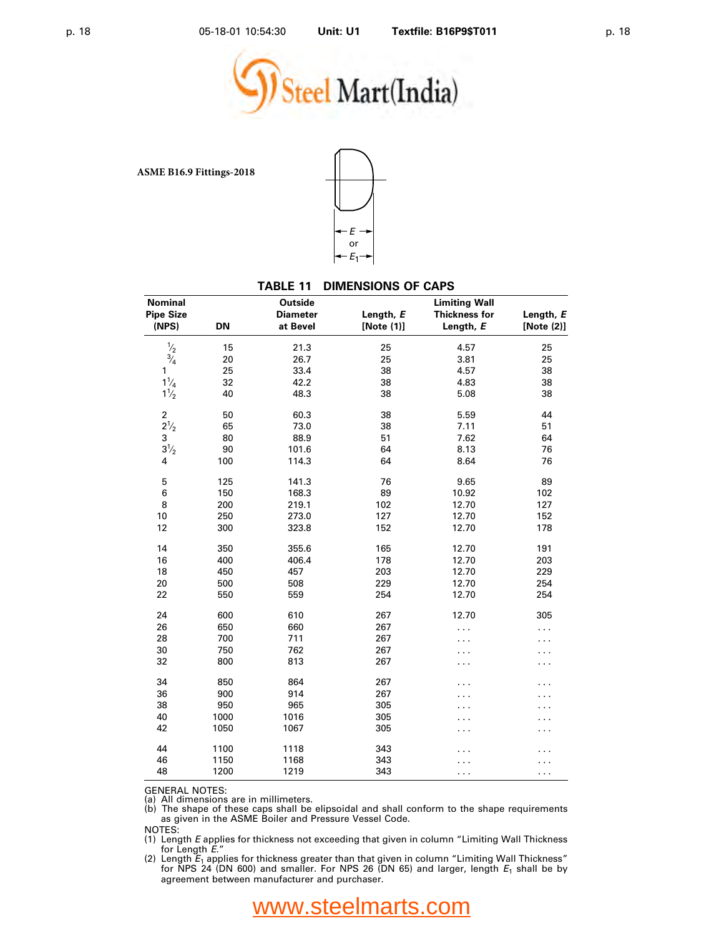



#### **TABLE 11 DIMENSIONS OF CAPS**

| <b>Nominal</b>   |           | Outside         |            | <b>Limiting Wall</b> |            |
|------------------|-----------|-----------------|------------|----------------------|------------|
| <b>Pipe Size</b> |           | <b>Diameter</b> | Length, E  | <b>Thickness for</b> | Length, E  |
| (NPS)            | <b>DN</b> | at Bevel        | [Note (1)] | Length, E            | [Note (2)] |
| $\frac{1}{2}$    | 15        | 21.3            | 25         | 4.57                 | 25         |
| $\frac{3}{4}$    | 20        | 26.7            | 25         | 3.81                 | 25         |
| 1                | 25        | 33.4            | 38         | 4.57                 | 38         |
| $1\frac{1}{4}$   | 32        | 42.2            | 38         | 4.83                 | 38         |
| $1\frac{1}{2}$   | 40        | 48.3            | 38         | 5.08                 | 38         |
| $\mathbf 2$      | 50        | 60.3            | 38         | 5.59                 | 44         |
| $2^{1/2}$        | 65        | 73.0            | 38         | 7.11                 | 51         |
| 3                | 80        | 88.9            | 51         | 7.62                 | 64         |
| $3^{1/2}$        | 90        | 101.6           | 64         | 8.13                 | 76         |
| 4                | 100       | 114.3           | 64         | 8.64                 | 76         |
| 5                | 125       | 141.3           | 76         | 9.65                 | 89         |
| 6                | 150       | 168.3           | 89         | 10.92                | 102        |
| 8                | 200       | 219.1           | 102        | 12.70                | 127        |
| 10               | 250       | 273.0           | 127        | 12.70                | 152        |
| 12               | 300       | 323.8           | 152        | 12.70                | 178        |
| 14               | 350       | 355.6           | 165        | 12.70                | 191        |
| 16               | 400       | 406.4           | 178        | 12.70                | 203        |
| 18               | 450       | 457             | 203        | 12.70                | 229        |
| 20               | 500       | 508             | 229        | 12.70                | 254        |
| 22               | 550       | 559             | 254        | 12.70                | 254        |
| 24               | 600       | 610             | 267        | 12.70                | 305        |
| 26               | 650       | 660             | 267        | .                    | .          |
| 28               | 700       | 711             | 267        |                      |            |
| 30               | 750       | 762             | 267        |                      |            |
| 32               | 800       | 813             | 267        | .                    |            |
| 34               | 850       | 864             | 267        |                      |            |
| 36               | 900       | 914             | 267        |                      |            |
| 38               | 950       | 965             | 305        |                      |            |
| 40               | 1000      | 1016            | 305        | .                    |            |
| 42               | 1050      | 1067            | 305        | .                    |            |
| 44               | 1100      | 1118            | 343        |                      |            |
| 46               | 1150      | 1168            | 343        |                      |            |
| 48               | 1200      | 1219            | 343        | .                    | .          |

GENERAL NOTES:

(a) All dimensions are in millimeters. (b) The shape of these caps shall be elipsoidal and shall conform to the shape requirements as given in the ASME Boiler and Pressure Vessel Code.

NOTES:

(1) Length *E* applies for thickness not exceeding that given in column "Limiting Wall Thickness<br>for Length *E*." for Length *<sup>E</sup>*." (2) Length *<sup>E</sup>*<sup>1</sup> applies for thickness greater than that given in column "Limiting Wall Thickness"

for NPS 24 (DN 600) and smaller. For NPS 26 (DN 65) and larger, length *E*<sup>1</sup> shall be by agreement between manufacturer and purchaser.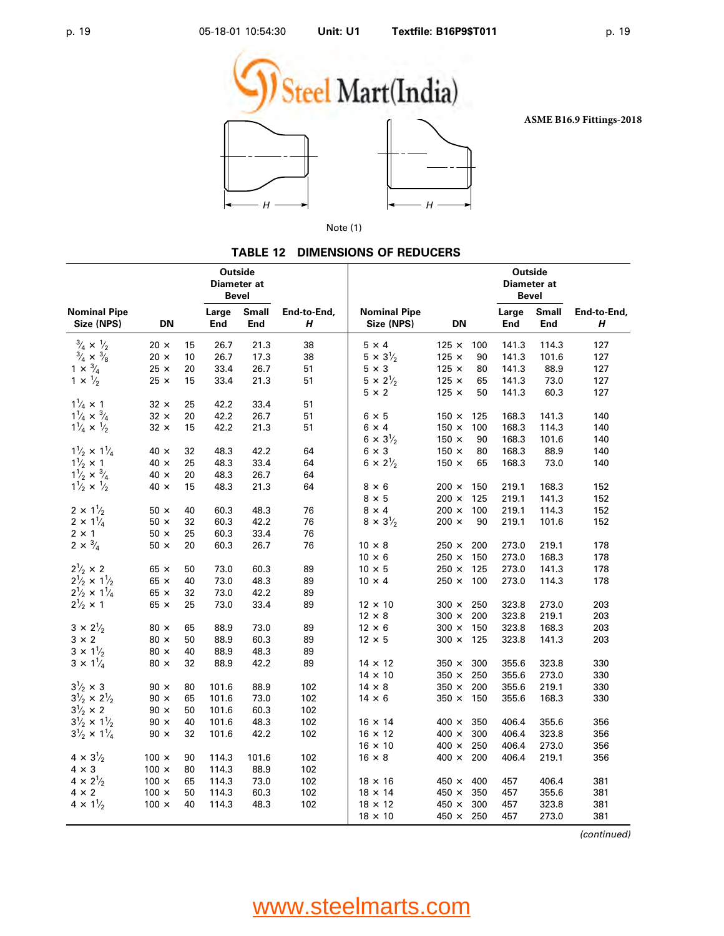





Note (1)

#### **TABLE 12 DIMENSIONS OF REDUCERS**

| <b>Small</b><br><b>Nominal Pipe</b><br>Large<br>End-to-End,<br>Large<br><b>Small</b><br>End-to-End,<br>Size (NPS)<br><b>DN</b><br>End<br>End<br>Size (NPS)<br><b>DN</b><br>End<br>End<br>Н<br>Н<br>$\frac{3}{4} \times \frac{1}{2}$<br>$\frac{3}{4} \times \frac{3}{8}$<br>$1 \times \frac{3}{4}$<br>$20 \times$<br>21.3<br>38<br>$5 \times 4$<br>15<br>26.7<br>$125 \times$<br>100<br>141.3<br>114.3<br>127<br>$5 \times 3\frac{1}{2}$<br>$20 \times$<br>10<br>26.7<br>17.3<br>38<br>$125 \times$<br>90<br>141.3<br>101.6<br>127<br>$5 \times 3$<br>$25 \times$<br>$125 \times$<br>20<br>33.4<br>26.7<br>51<br>80<br>141.3<br>88.9<br>127<br>$1 \times \frac{1}{2}$<br>$5 \times 2^{1/2}$<br>$25 \times$<br>$125 \times$<br>15<br>33.4<br>21.3<br>141.3<br>73.0<br>51<br>65<br>127<br>$5 \times 2$<br>$125 \times$<br>50<br>141.3<br>60.3<br>127<br>$1\frac{1}{4} \times 1$<br>$32 \times$<br>25<br>42.2<br>33.4<br>51<br>$1\frac{1}{4} \times \frac{3}{4}$<br>$32 \times$<br>$6 \times 5$<br>20<br>42.2<br>26.7<br>51<br>$150 \times$<br>168.3<br>141.3<br>140<br>125<br>$1\frac{1}{4} \times \frac{1}{2}$<br>$32 \times$<br>15<br>42.2<br>21.3<br>51<br>$6 \times 4$<br>$150 \times$<br>100<br>168.3<br>114.3<br>140<br>$6 \times 3\frac{1}{2}$<br>$150 \times$<br>90<br>168.3<br>101.6<br>140<br>$1\frac{1}{2} \times 1\frac{1}{4}$<br>$40 \times$<br>64<br>$6 \times 3$<br>32<br>48.3<br>42.2<br>$150 \times$<br>80<br>168.3<br>88.9<br>140<br>$1\frac{1}{2} \times 1$<br>$6 \times 2^{1/2}$<br>$40 \times$<br>25<br>48.3<br>33.4<br>64<br>$150 \times$<br>168.3<br>73.0<br>65<br>140<br>$1\frac{1}{2} \times \frac{3}{4}$<br>$40 \times$<br>20<br>48.3<br>26.7<br>64<br>$1\frac{1}{2} \times \frac{1}{2}$<br>15<br>$40 \times$<br>48.3<br>21.3<br>64<br>$8 \times 6$<br>$200 \times$<br>150<br>219.1<br>168.3<br>152<br>$8 \times 5$<br>125<br>$200 \times$<br>219.1<br>141.3<br>152<br>$2 \times 1\frac{1}{2}$<br>76<br>$8 \times 4$<br>100<br>$50 \times$<br>40<br>60.3<br>48.3<br>$200 \times$<br>219.1<br>114.3<br>152<br>$2 \times 1\frac{1}{4}$<br>$8 \times 3\frac{1}{2}$<br>$50 \times$<br>32<br>60.3<br>76<br>90<br>42.2<br>$200 \times$<br>219.1<br>101.6<br>152<br>$2 \times 1$<br>25<br>$50 \times$<br>60.3<br>33.4<br>76<br>$2 \times \frac{3}{4}$<br>$50 \times$<br>20<br>60.3<br>26.7<br>76<br>$10 \times 8$<br>$250 \times$<br>200<br>273.0<br>219.1<br>178<br>150<br>168.3<br>$10 \times 6$<br>$250 \times$<br>273.0<br>178<br>$2^{1/2} \times 2$<br>$65 \times$<br>125<br>50<br>73.0<br>60.3<br>89<br>$10 \times 5$<br>$250 \times$<br>273.0<br>141.3<br>178<br>$2\frac{1}{2} \times 1\frac{1}{2}$<br>$65 \times$<br>40<br>73.0<br>48.3<br>89<br>$10 \times 4$<br>$250 \times$<br>100<br>273.0<br>114.3<br>178<br>$2\frac{1}{2} \times 1\frac{1}{4}$<br>$65 \times$<br>32<br>73.0<br>42.2<br>89<br>$2\frac{1}{2} \times 1$<br>$65 \times$<br>25<br>73.0<br>89<br>273.0<br>203<br>33.4<br>$12 \times 10$<br>$300 \times$<br>250<br>323.8<br>$12 \times 8$<br>200<br>$300 \times$<br>323.8<br>219.1<br>203<br>$3 \times 2\frac{1}{2}$<br>$80 \times$<br>65<br>88.9<br>73.0<br>89<br>$12 \times 6$<br>$300 \times$<br>150<br>323.8<br>168.3<br>203<br>$3 \times 2$<br>$80 \times$<br>50<br>88.9<br>60.3<br>89<br>$12 \times 5$<br>125<br>323.8<br>141.3<br>$300 \times$<br>203<br>$3 \times 1\frac{1}{2}$<br>$80 \times$<br>40<br>88.9<br>48.3<br>89<br>$3 \times 1\frac{1}{4}$<br>$80 \times$<br>88.9<br>330<br>32<br>42.2<br>89<br>$14 \times 12$<br>$350 \times$<br>300<br>355.6<br>323.8<br>$14 \times 10$<br>$350 \times$<br>250<br>355.6<br>273.0<br>330<br>$3\frac{1}{2} \times 3$<br>$90 \times$<br>80<br>101.6<br>88.9<br>102<br>$14 \times 8$<br>$350 \times$<br>200<br>219.1<br>355.6<br>330<br>$3\frac{1}{2} \times 2\frac{1}{2}$<br>$90 \times$<br>$14 \times 6$<br>150<br>65<br>101.6<br>73.0<br>102<br>$350 \times$<br>355.6<br>168.3<br>330<br>$3^{1}/_{2} \times 2$<br>$90 \times$<br>50<br>101.6<br>60.3<br>102<br>$3\frac{1}{2} \times 1\frac{1}{2}$<br>$90 \times$<br>40<br>102<br>400 $\times$<br>355.6<br>356<br>101.6<br>48.3<br>$16 \times 14$<br>350<br>406.4<br>$3\frac{1}{2} \times 1\frac{1}{4}$<br>$90 \times$<br>32<br>$16 \times 12$<br>300<br>323.8<br>101.6<br>42.2<br>102<br>$400 \times$<br>406.4<br>356<br>$16 \times 10$<br>400 $\times$<br>250<br>273.0<br>406.4<br>356<br>$4 \times 3\frac{1}{2}$<br>$100 \times$<br>$16 \times 8$<br>200<br>90<br>114.3<br>101.6<br>102<br>400 $\times$<br>406.4<br>219.1<br>356<br>$4 \times 3$<br>$100 \times$<br>114.3<br>88.9<br>102<br>80<br>$4 \times 2\frac{1}{2}$<br>$100 \times$<br>65<br>114.3<br>400<br>406.4<br>381<br>73.0<br>102<br>$18 \times 16$<br>$450 \times$<br>457<br>$4 \times 2$<br>114.3<br>$18 \times 14$<br>$100 \times$<br>50<br>$450 \times$<br>350<br>457<br>355.6<br>60.3<br>102<br>381<br>$4 \times 1\frac{1}{2}$<br>40<br>114.3<br>300<br>$100 \times$<br>48.3<br>102<br>$18 \times 12$<br>$450 \times$<br>457<br>323.8<br>381<br>250<br>$18 \times 10$<br>$450 \times$<br>457<br>273.0<br>381 |                     | Outside<br>Diameter at<br>Bevel |  |  |  |  | <b>Outside</b><br>Diameter at<br><b>Bevel</b> |  |  |
|-----------------------------------------------------------------------------------------------------------------------------------------------------------------------------------------------------------------------------------------------------------------------------------------------------------------------------------------------------------------------------------------------------------------------------------------------------------------------------------------------------------------------------------------------------------------------------------------------------------------------------------------------------------------------------------------------------------------------------------------------------------------------------------------------------------------------------------------------------------------------------------------------------------------------------------------------------------------------------------------------------------------------------------------------------------------------------------------------------------------------------------------------------------------------------------------------------------------------------------------------------------------------------------------------------------------------------------------------------------------------------------------------------------------------------------------------------------------------------------------------------------------------------------------------------------------------------------------------------------------------------------------------------------------------------------------------------------------------------------------------------------------------------------------------------------------------------------------------------------------------------------------------------------------------------------------------------------------------------------------------------------------------------------------------------------------------------------------------------------------------------------------------------------------------------------------------------------------------------------------------------------------------------------------------------------------------------------------------------------------------------------------------------------------------------------------------------------------------------------------------------------------------------------------------------------------------------------------------------------------------------------------------------------------------------------------------------------------------------------------------------------------------------------------------------------------------------------------------------------------------------------------------------------------------------------------------------------------------------------------------------------------------------------------------------------------------------------------------------------------------------------------------------------------------------------------------------------------------------------------------------------------------------------------------------------------------------------------------------------------------------------------------------------------------------------------------------------------------------------------------------------------------------------------------------------------------------------------------------------------------------------------------------------------------------------------------------------------------------------------------------------------------------------------------------------------------------------------------------------------------------------------------------------------------------------------------------------------------------------------------------------------------------------------------------------------------------------------------------------------------------------------------------------------------------------------------------------------------------------------------------------------------------------------------------------------------------------------------------------------------------------------------------------------------------------------------------------------------------------------------------------------------------------------------------------------------------------------------------------------------------------------------------------------------------------------------------------------------------------------------------------------------------------------------------------------------------------------------------------------------------------------------------------------------------------------------------------------------------------------------------------------------------|---------------------|---------------------------------|--|--|--|--|-----------------------------------------------|--|--|
|                                                                                                                                                                                                                                                                                                                                                                                                                                                                                                                                                                                                                                                                                                                                                                                                                                                                                                                                                                                                                                                                                                                                                                                                                                                                                                                                                                                                                                                                                                                                                                                                                                                                                                                                                                                                                                                                                                                                                                                                                                                                                                                                                                                                                                                                                                                                                                                                                                                                                                                                                                                                                                                                                                                                                                                                                                                                                                                                                                                                                                                                                                                                                                                                                                                                                                                                                                                                                                                                                                                                                                                                                                                                                                                                                                                                                                                                                                                                                                                                                                                                                                                                                                                                                                                                                                                                                                                                                                                                                                                                                                                                                                                                                                                                                                                                                                                                                                                                                                                                                             | <b>Nominal Pipe</b> |                                 |  |  |  |  |                                               |  |  |
|                                                                                                                                                                                                                                                                                                                                                                                                                                                                                                                                                                                                                                                                                                                                                                                                                                                                                                                                                                                                                                                                                                                                                                                                                                                                                                                                                                                                                                                                                                                                                                                                                                                                                                                                                                                                                                                                                                                                                                                                                                                                                                                                                                                                                                                                                                                                                                                                                                                                                                                                                                                                                                                                                                                                                                                                                                                                                                                                                                                                                                                                                                                                                                                                                                                                                                                                                                                                                                                                                                                                                                                                                                                                                                                                                                                                                                                                                                                                                                                                                                                                                                                                                                                                                                                                                                                                                                                                                                                                                                                                                                                                                                                                                                                                                                                                                                                                                                                                                                                                                             |                     |                                 |  |  |  |  |                                               |  |  |
|                                                                                                                                                                                                                                                                                                                                                                                                                                                                                                                                                                                                                                                                                                                                                                                                                                                                                                                                                                                                                                                                                                                                                                                                                                                                                                                                                                                                                                                                                                                                                                                                                                                                                                                                                                                                                                                                                                                                                                                                                                                                                                                                                                                                                                                                                                                                                                                                                                                                                                                                                                                                                                                                                                                                                                                                                                                                                                                                                                                                                                                                                                                                                                                                                                                                                                                                                                                                                                                                                                                                                                                                                                                                                                                                                                                                                                                                                                                                                                                                                                                                                                                                                                                                                                                                                                                                                                                                                                                                                                                                                                                                                                                                                                                                                                                                                                                                                                                                                                                                                             |                     |                                 |  |  |  |  |                                               |  |  |
|                                                                                                                                                                                                                                                                                                                                                                                                                                                                                                                                                                                                                                                                                                                                                                                                                                                                                                                                                                                                                                                                                                                                                                                                                                                                                                                                                                                                                                                                                                                                                                                                                                                                                                                                                                                                                                                                                                                                                                                                                                                                                                                                                                                                                                                                                                                                                                                                                                                                                                                                                                                                                                                                                                                                                                                                                                                                                                                                                                                                                                                                                                                                                                                                                                                                                                                                                                                                                                                                                                                                                                                                                                                                                                                                                                                                                                                                                                                                                                                                                                                                                                                                                                                                                                                                                                                                                                                                                                                                                                                                                                                                                                                                                                                                                                                                                                                                                                                                                                                                                             |                     |                                 |  |  |  |  |                                               |  |  |
|                                                                                                                                                                                                                                                                                                                                                                                                                                                                                                                                                                                                                                                                                                                                                                                                                                                                                                                                                                                                                                                                                                                                                                                                                                                                                                                                                                                                                                                                                                                                                                                                                                                                                                                                                                                                                                                                                                                                                                                                                                                                                                                                                                                                                                                                                                                                                                                                                                                                                                                                                                                                                                                                                                                                                                                                                                                                                                                                                                                                                                                                                                                                                                                                                                                                                                                                                                                                                                                                                                                                                                                                                                                                                                                                                                                                                                                                                                                                                                                                                                                                                                                                                                                                                                                                                                                                                                                                                                                                                                                                                                                                                                                                                                                                                                                                                                                                                                                                                                                                                             |                     |                                 |  |  |  |  |                                               |  |  |
|                                                                                                                                                                                                                                                                                                                                                                                                                                                                                                                                                                                                                                                                                                                                                                                                                                                                                                                                                                                                                                                                                                                                                                                                                                                                                                                                                                                                                                                                                                                                                                                                                                                                                                                                                                                                                                                                                                                                                                                                                                                                                                                                                                                                                                                                                                                                                                                                                                                                                                                                                                                                                                                                                                                                                                                                                                                                                                                                                                                                                                                                                                                                                                                                                                                                                                                                                                                                                                                                                                                                                                                                                                                                                                                                                                                                                                                                                                                                                                                                                                                                                                                                                                                                                                                                                                                                                                                                                                                                                                                                                                                                                                                                                                                                                                                                                                                                                                                                                                                                                             |                     |                                 |  |  |  |  |                                               |  |  |
|                                                                                                                                                                                                                                                                                                                                                                                                                                                                                                                                                                                                                                                                                                                                                                                                                                                                                                                                                                                                                                                                                                                                                                                                                                                                                                                                                                                                                                                                                                                                                                                                                                                                                                                                                                                                                                                                                                                                                                                                                                                                                                                                                                                                                                                                                                                                                                                                                                                                                                                                                                                                                                                                                                                                                                                                                                                                                                                                                                                                                                                                                                                                                                                                                                                                                                                                                                                                                                                                                                                                                                                                                                                                                                                                                                                                                                                                                                                                                                                                                                                                                                                                                                                                                                                                                                                                                                                                                                                                                                                                                                                                                                                                                                                                                                                                                                                                                                                                                                                                                             |                     |                                 |  |  |  |  |                                               |  |  |
|                                                                                                                                                                                                                                                                                                                                                                                                                                                                                                                                                                                                                                                                                                                                                                                                                                                                                                                                                                                                                                                                                                                                                                                                                                                                                                                                                                                                                                                                                                                                                                                                                                                                                                                                                                                                                                                                                                                                                                                                                                                                                                                                                                                                                                                                                                                                                                                                                                                                                                                                                                                                                                                                                                                                                                                                                                                                                                                                                                                                                                                                                                                                                                                                                                                                                                                                                                                                                                                                                                                                                                                                                                                                                                                                                                                                                                                                                                                                                                                                                                                                                                                                                                                                                                                                                                                                                                                                                                                                                                                                                                                                                                                                                                                                                                                                                                                                                                                                                                                                                             |                     |                                 |  |  |  |  |                                               |  |  |
|                                                                                                                                                                                                                                                                                                                                                                                                                                                                                                                                                                                                                                                                                                                                                                                                                                                                                                                                                                                                                                                                                                                                                                                                                                                                                                                                                                                                                                                                                                                                                                                                                                                                                                                                                                                                                                                                                                                                                                                                                                                                                                                                                                                                                                                                                                                                                                                                                                                                                                                                                                                                                                                                                                                                                                                                                                                                                                                                                                                                                                                                                                                                                                                                                                                                                                                                                                                                                                                                                                                                                                                                                                                                                                                                                                                                                                                                                                                                                                                                                                                                                                                                                                                                                                                                                                                                                                                                                                                                                                                                                                                                                                                                                                                                                                                                                                                                                                                                                                                                                             |                     |                                 |  |  |  |  |                                               |  |  |
|                                                                                                                                                                                                                                                                                                                                                                                                                                                                                                                                                                                                                                                                                                                                                                                                                                                                                                                                                                                                                                                                                                                                                                                                                                                                                                                                                                                                                                                                                                                                                                                                                                                                                                                                                                                                                                                                                                                                                                                                                                                                                                                                                                                                                                                                                                                                                                                                                                                                                                                                                                                                                                                                                                                                                                                                                                                                                                                                                                                                                                                                                                                                                                                                                                                                                                                                                                                                                                                                                                                                                                                                                                                                                                                                                                                                                                                                                                                                                                                                                                                                                                                                                                                                                                                                                                                                                                                                                                                                                                                                                                                                                                                                                                                                                                                                                                                                                                                                                                                                                             |                     |                                 |  |  |  |  |                                               |  |  |
|                                                                                                                                                                                                                                                                                                                                                                                                                                                                                                                                                                                                                                                                                                                                                                                                                                                                                                                                                                                                                                                                                                                                                                                                                                                                                                                                                                                                                                                                                                                                                                                                                                                                                                                                                                                                                                                                                                                                                                                                                                                                                                                                                                                                                                                                                                                                                                                                                                                                                                                                                                                                                                                                                                                                                                                                                                                                                                                                                                                                                                                                                                                                                                                                                                                                                                                                                                                                                                                                                                                                                                                                                                                                                                                                                                                                                                                                                                                                                                                                                                                                                                                                                                                                                                                                                                                                                                                                                                                                                                                                                                                                                                                                                                                                                                                                                                                                                                                                                                                                                             |                     |                                 |  |  |  |  |                                               |  |  |
|                                                                                                                                                                                                                                                                                                                                                                                                                                                                                                                                                                                                                                                                                                                                                                                                                                                                                                                                                                                                                                                                                                                                                                                                                                                                                                                                                                                                                                                                                                                                                                                                                                                                                                                                                                                                                                                                                                                                                                                                                                                                                                                                                                                                                                                                                                                                                                                                                                                                                                                                                                                                                                                                                                                                                                                                                                                                                                                                                                                                                                                                                                                                                                                                                                                                                                                                                                                                                                                                                                                                                                                                                                                                                                                                                                                                                                                                                                                                                                                                                                                                                                                                                                                                                                                                                                                                                                                                                                                                                                                                                                                                                                                                                                                                                                                                                                                                                                                                                                                                                             |                     |                                 |  |  |  |  |                                               |  |  |
|                                                                                                                                                                                                                                                                                                                                                                                                                                                                                                                                                                                                                                                                                                                                                                                                                                                                                                                                                                                                                                                                                                                                                                                                                                                                                                                                                                                                                                                                                                                                                                                                                                                                                                                                                                                                                                                                                                                                                                                                                                                                                                                                                                                                                                                                                                                                                                                                                                                                                                                                                                                                                                                                                                                                                                                                                                                                                                                                                                                                                                                                                                                                                                                                                                                                                                                                                                                                                                                                                                                                                                                                                                                                                                                                                                                                                                                                                                                                                                                                                                                                                                                                                                                                                                                                                                                                                                                                                                                                                                                                                                                                                                                                                                                                                                                                                                                                                                                                                                                                                             |                     |                                 |  |  |  |  |                                               |  |  |
|                                                                                                                                                                                                                                                                                                                                                                                                                                                                                                                                                                                                                                                                                                                                                                                                                                                                                                                                                                                                                                                                                                                                                                                                                                                                                                                                                                                                                                                                                                                                                                                                                                                                                                                                                                                                                                                                                                                                                                                                                                                                                                                                                                                                                                                                                                                                                                                                                                                                                                                                                                                                                                                                                                                                                                                                                                                                                                                                                                                                                                                                                                                                                                                                                                                                                                                                                                                                                                                                                                                                                                                                                                                                                                                                                                                                                                                                                                                                                                                                                                                                                                                                                                                                                                                                                                                                                                                                                                                                                                                                                                                                                                                                                                                                                                                                                                                                                                                                                                                                                             |                     |                                 |  |  |  |  |                                               |  |  |
|                                                                                                                                                                                                                                                                                                                                                                                                                                                                                                                                                                                                                                                                                                                                                                                                                                                                                                                                                                                                                                                                                                                                                                                                                                                                                                                                                                                                                                                                                                                                                                                                                                                                                                                                                                                                                                                                                                                                                                                                                                                                                                                                                                                                                                                                                                                                                                                                                                                                                                                                                                                                                                                                                                                                                                                                                                                                                                                                                                                                                                                                                                                                                                                                                                                                                                                                                                                                                                                                                                                                                                                                                                                                                                                                                                                                                                                                                                                                                                                                                                                                                                                                                                                                                                                                                                                                                                                                                                                                                                                                                                                                                                                                                                                                                                                                                                                                                                                                                                                                                             |                     |                                 |  |  |  |  |                                               |  |  |
|                                                                                                                                                                                                                                                                                                                                                                                                                                                                                                                                                                                                                                                                                                                                                                                                                                                                                                                                                                                                                                                                                                                                                                                                                                                                                                                                                                                                                                                                                                                                                                                                                                                                                                                                                                                                                                                                                                                                                                                                                                                                                                                                                                                                                                                                                                                                                                                                                                                                                                                                                                                                                                                                                                                                                                                                                                                                                                                                                                                                                                                                                                                                                                                                                                                                                                                                                                                                                                                                                                                                                                                                                                                                                                                                                                                                                                                                                                                                                                                                                                                                                                                                                                                                                                                                                                                                                                                                                                                                                                                                                                                                                                                                                                                                                                                                                                                                                                                                                                                                                             |                     |                                 |  |  |  |  |                                               |  |  |
|                                                                                                                                                                                                                                                                                                                                                                                                                                                                                                                                                                                                                                                                                                                                                                                                                                                                                                                                                                                                                                                                                                                                                                                                                                                                                                                                                                                                                                                                                                                                                                                                                                                                                                                                                                                                                                                                                                                                                                                                                                                                                                                                                                                                                                                                                                                                                                                                                                                                                                                                                                                                                                                                                                                                                                                                                                                                                                                                                                                                                                                                                                                                                                                                                                                                                                                                                                                                                                                                                                                                                                                                                                                                                                                                                                                                                                                                                                                                                                                                                                                                                                                                                                                                                                                                                                                                                                                                                                                                                                                                                                                                                                                                                                                                                                                                                                                                                                                                                                                                                             |                     |                                 |  |  |  |  |                                               |  |  |
|                                                                                                                                                                                                                                                                                                                                                                                                                                                                                                                                                                                                                                                                                                                                                                                                                                                                                                                                                                                                                                                                                                                                                                                                                                                                                                                                                                                                                                                                                                                                                                                                                                                                                                                                                                                                                                                                                                                                                                                                                                                                                                                                                                                                                                                                                                                                                                                                                                                                                                                                                                                                                                                                                                                                                                                                                                                                                                                                                                                                                                                                                                                                                                                                                                                                                                                                                                                                                                                                                                                                                                                                                                                                                                                                                                                                                                                                                                                                                                                                                                                                                                                                                                                                                                                                                                                                                                                                                                                                                                                                                                                                                                                                                                                                                                                                                                                                                                                                                                                                                             |                     |                                 |  |  |  |  |                                               |  |  |
|                                                                                                                                                                                                                                                                                                                                                                                                                                                                                                                                                                                                                                                                                                                                                                                                                                                                                                                                                                                                                                                                                                                                                                                                                                                                                                                                                                                                                                                                                                                                                                                                                                                                                                                                                                                                                                                                                                                                                                                                                                                                                                                                                                                                                                                                                                                                                                                                                                                                                                                                                                                                                                                                                                                                                                                                                                                                                                                                                                                                                                                                                                                                                                                                                                                                                                                                                                                                                                                                                                                                                                                                                                                                                                                                                                                                                                                                                                                                                                                                                                                                                                                                                                                                                                                                                                                                                                                                                                                                                                                                                                                                                                                                                                                                                                                                                                                                                                                                                                                                                             |                     |                                 |  |  |  |  |                                               |  |  |
|                                                                                                                                                                                                                                                                                                                                                                                                                                                                                                                                                                                                                                                                                                                                                                                                                                                                                                                                                                                                                                                                                                                                                                                                                                                                                                                                                                                                                                                                                                                                                                                                                                                                                                                                                                                                                                                                                                                                                                                                                                                                                                                                                                                                                                                                                                                                                                                                                                                                                                                                                                                                                                                                                                                                                                                                                                                                                                                                                                                                                                                                                                                                                                                                                                                                                                                                                                                                                                                                                                                                                                                                                                                                                                                                                                                                                                                                                                                                                                                                                                                                                                                                                                                                                                                                                                                                                                                                                                                                                                                                                                                                                                                                                                                                                                                                                                                                                                                                                                                                                             |                     |                                 |  |  |  |  |                                               |  |  |
|                                                                                                                                                                                                                                                                                                                                                                                                                                                                                                                                                                                                                                                                                                                                                                                                                                                                                                                                                                                                                                                                                                                                                                                                                                                                                                                                                                                                                                                                                                                                                                                                                                                                                                                                                                                                                                                                                                                                                                                                                                                                                                                                                                                                                                                                                                                                                                                                                                                                                                                                                                                                                                                                                                                                                                                                                                                                                                                                                                                                                                                                                                                                                                                                                                                                                                                                                                                                                                                                                                                                                                                                                                                                                                                                                                                                                                                                                                                                                                                                                                                                                                                                                                                                                                                                                                                                                                                                                                                                                                                                                                                                                                                                                                                                                                                                                                                                                                                                                                                                                             |                     |                                 |  |  |  |  |                                               |  |  |
|                                                                                                                                                                                                                                                                                                                                                                                                                                                                                                                                                                                                                                                                                                                                                                                                                                                                                                                                                                                                                                                                                                                                                                                                                                                                                                                                                                                                                                                                                                                                                                                                                                                                                                                                                                                                                                                                                                                                                                                                                                                                                                                                                                                                                                                                                                                                                                                                                                                                                                                                                                                                                                                                                                                                                                                                                                                                                                                                                                                                                                                                                                                                                                                                                                                                                                                                                                                                                                                                                                                                                                                                                                                                                                                                                                                                                                                                                                                                                                                                                                                                                                                                                                                                                                                                                                                                                                                                                                                                                                                                                                                                                                                                                                                                                                                                                                                                                                                                                                                                                             |                     |                                 |  |  |  |  |                                               |  |  |
|                                                                                                                                                                                                                                                                                                                                                                                                                                                                                                                                                                                                                                                                                                                                                                                                                                                                                                                                                                                                                                                                                                                                                                                                                                                                                                                                                                                                                                                                                                                                                                                                                                                                                                                                                                                                                                                                                                                                                                                                                                                                                                                                                                                                                                                                                                                                                                                                                                                                                                                                                                                                                                                                                                                                                                                                                                                                                                                                                                                                                                                                                                                                                                                                                                                                                                                                                                                                                                                                                                                                                                                                                                                                                                                                                                                                                                                                                                                                                                                                                                                                                                                                                                                                                                                                                                                                                                                                                                                                                                                                                                                                                                                                                                                                                                                                                                                                                                                                                                                                                             |                     |                                 |  |  |  |  |                                               |  |  |
|                                                                                                                                                                                                                                                                                                                                                                                                                                                                                                                                                                                                                                                                                                                                                                                                                                                                                                                                                                                                                                                                                                                                                                                                                                                                                                                                                                                                                                                                                                                                                                                                                                                                                                                                                                                                                                                                                                                                                                                                                                                                                                                                                                                                                                                                                                                                                                                                                                                                                                                                                                                                                                                                                                                                                                                                                                                                                                                                                                                                                                                                                                                                                                                                                                                                                                                                                                                                                                                                                                                                                                                                                                                                                                                                                                                                                                                                                                                                                                                                                                                                                                                                                                                                                                                                                                                                                                                                                                                                                                                                                                                                                                                                                                                                                                                                                                                                                                                                                                                                                             |                     |                                 |  |  |  |  |                                               |  |  |
|                                                                                                                                                                                                                                                                                                                                                                                                                                                                                                                                                                                                                                                                                                                                                                                                                                                                                                                                                                                                                                                                                                                                                                                                                                                                                                                                                                                                                                                                                                                                                                                                                                                                                                                                                                                                                                                                                                                                                                                                                                                                                                                                                                                                                                                                                                                                                                                                                                                                                                                                                                                                                                                                                                                                                                                                                                                                                                                                                                                                                                                                                                                                                                                                                                                                                                                                                                                                                                                                                                                                                                                                                                                                                                                                                                                                                                                                                                                                                                                                                                                                                                                                                                                                                                                                                                                                                                                                                                                                                                                                                                                                                                                                                                                                                                                                                                                                                                                                                                                                                             |                     |                                 |  |  |  |  |                                               |  |  |
|                                                                                                                                                                                                                                                                                                                                                                                                                                                                                                                                                                                                                                                                                                                                                                                                                                                                                                                                                                                                                                                                                                                                                                                                                                                                                                                                                                                                                                                                                                                                                                                                                                                                                                                                                                                                                                                                                                                                                                                                                                                                                                                                                                                                                                                                                                                                                                                                                                                                                                                                                                                                                                                                                                                                                                                                                                                                                                                                                                                                                                                                                                                                                                                                                                                                                                                                                                                                                                                                                                                                                                                                                                                                                                                                                                                                                                                                                                                                                                                                                                                                                                                                                                                                                                                                                                                                                                                                                                                                                                                                                                                                                                                                                                                                                                                                                                                                                                                                                                                                                             |                     |                                 |  |  |  |  |                                               |  |  |
|                                                                                                                                                                                                                                                                                                                                                                                                                                                                                                                                                                                                                                                                                                                                                                                                                                                                                                                                                                                                                                                                                                                                                                                                                                                                                                                                                                                                                                                                                                                                                                                                                                                                                                                                                                                                                                                                                                                                                                                                                                                                                                                                                                                                                                                                                                                                                                                                                                                                                                                                                                                                                                                                                                                                                                                                                                                                                                                                                                                                                                                                                                                                                                                                                                                                                                                                                                                                                                                                                                                                                                                                                                                                                                                                                                                                                                                                                                                                                                                                                                                                                                                                                                                                                                                                                                                                                                                                                                                                                                                                                                                                                                                                                                                                                                                                                                                                                                                                                                                                                             |                     |                                 |  |  |  |  |                                               |  |  |
|                                                                                                                                                                                                                                                                                                                                                                                                                                                                                                                                                                                                                                                                                                                                                                                                                                                                                                                                                                                                                                                                                                                                                                                                                                                                                                                                                                                                                                                                                                                                                                                                                                                                                                                                                                                                                                                                                                                                                                                                                                                                                                                                                                                                                                                                                                                                                                                                                                                                                                                                                                                                                                                                                                                                                                                                                                                                                                                                                                                                                                                                                                                                                                                                                                                                                                                                                                                                                                                                                                                                                                                                                                                                                                                                                                                                                                                                                                                                                                                                                                                                                                                                                                                                                                                                                                                                                                                                                                                                                                                                                                                                                                                                                                                                                                                                                                                                                                                                                                                                                             |                     |                                 |  |  |  |  |                                               |  |  |
|                                                                                                                                                                                                                                                                                                                                                                                                                                                                                                                                                                                                                                                                                                                                                                                                                                                                                                                                                                                                                                                                                                                                                                                                                                                                                                                                                                                                                                                                                                                                                                                                                                                                                                                                                                                                                                                                                                                                                                                                                                                                                                                                                                                                                                                                                                                                                                                                                                                                                                                                                                                                                                                                                                                                                                                                                                                                                                                                                                                                                                                                                                                                                                                                                                                                                                                                                                                                                                                                                                                                                                                                                                                                                                                                                                                                                                                                                                                                                                                                                                                                                                                                                                                                                                                                                                                                                                                                                                                                                                                                                                                                                                                                                                                                                                                                                                                                                                                                                                                                                             |                     |                                 |  |  |  |  |                                               |  |  |
|                                                                                                                                                                                                                                                                                                                                                                                                                                                                                                                                                                                                                                                                                                                                                                                                                                                                                                                                                                                                                                                                                                                                                                                                                                                                                                                                                                                                                                                                                                                                                                                                                                                                                                                                                                                                                                                                                                                                                                                                                                                                                                                                                                                                                                                                                                                                                                                                                                                                                                                                                                                                                                                                                                                                                                                                                                                                                                                                                                                                                                                                                                                                                                                                                                                                                                                                                                                                                                                                                                                                                                                                                                                                                                                                                                                                                                                                                                                                                                                                                                                                                                                                                                                                                                                                                                                                                                                                                                                                                                                                                                                                                                                                                                                                                                                                                                                                                                                                                                                                                             |                     |                                 |  |  |  |  |                                               |  |  |
|                                                                                                                                                                                                                                                                                                                                                                                                                                                                                                                                                                                                                                                                                                                                                                                                                                                                                                                                                                                                                                                                                                                                                                                                                                                                                                                                                                                                                                                                                                                                                                                                                                                                                                                                                                                                                                                                                                                                                                                                                                                                                                                                                                                                                                                                                                                                                                                                                                                                                                                                                                                                                                                                                                                                                                                                                                                                                                                                                                                                                                                                                                                                                                                                                                                                                                                                                                                                                                                                                                                                                                                                                                                                                                                                                                                                                                                                                                                                                                                                                                                                                                                                                                                                                                                                                                                                                                                                                                                                                                                                                                                                                                                                                                                                                                                                                                                                                                                                                                                                                             |                     |                                 |  |  |  |  |                                               |  |  |
|                                                                                                                                                                                                                                                                                                                                                                                                                                                                                                                                                                                                                                                                                                                                                                                                                                                                                                                                                                                                                                                                                                                                                                                                                                                                                                                                                                                                                                                                                                                                                                                                                                                                                                                                                                                                                                                                                                                                                                                                                                                                                                                                                                                                                                                                                                                                                                                                                                                                                                                                                                                                                                                                                                                                                                                                                                                                                                                                                                                                                                                                                                                                                                                                                                                                                                                                                                                                                                                                                                                                                                                                                                                                                                                                                                                                                                                                                                                                                                                                                                                                                                                                                                                                                                                                                                                                                                                                                                                                                                                                                                                                                                                                                                                                                                                                                                                                                                                                                                                                                             |                     |                                 |  |  |  |  |                                               |  |  |
|                                                                                                                                                                                                                                                                                                                                                                                                                                                                                                                                                                                                                                                                                                                                                                                                                                                                                                                                                                                                                                                                                                                                                                                                                                                                                                                                                                                                                                                                                                                                                                                                                                                                                                                                                                                                                                                                                                                                                                                                                                                                                                                                                                                                                                                                                                                                                                                                                                                                                                                                                                                                                                                                                                                                                                                                                                                                                                                                                                                                                                                                                                                                                                                                                                                                                                                                                                                                                                                                                                                                                                                                                                                                                                                                                                                                                                                                                                                                                                                                                                                                                                                                                                                                                                                                                                                                                                                                                                                                                                                                                                                                                                                                                                                                                                                                                                                                                                                                                                                                                             |                     |                                 |  |  |  |  |                                               |  |  |
|                                                                                                                                                                                                                                                                                                                                                                                                                                                                                                                                                                                                                                                                                                                                                                                                                                                                                                                                                                                                                                                                                                                                                                                                                                                                                                                                                                                                                                                                                                                                                                                                                                                                                                                                                                                                                                                                                                                                                                                                                                                                                                                                                                                                                                                                                                                                                                                                                                                                                                                                                                                                                                                                                                                                                                                                                                                                                                                                                                                                                                                                                                                                                                                                                                                                                                                                                                                                                                                                                                                                                                                                                                                                                                                                                                                                                                                                                                                                                                                                                                                                                                                                                                                                                                                                                                                                                                                                                                                                                                                                                                                                                                                                                                                                                                                                                                                                                                                                                                                                                             |                     |                                 |  |  |  |  |                                               |  |  |
|                                                                                                                                                                                                                                                                                                                                                                                                                                                                                                                                                                                                                                                                                                                                                                                                                                                                                                                                                                                                                                                                                                                                                                                                                                                                                                                                                                                                                                                                                                                                                                                                                                                                                                                                                                                                                                                                                                                                                                                                                                                                                                                                                                                                                                                                                                                                                                                                                                                                                                                                                                                                                                                                                                                                                                                                                                                                                                                                                                                                                                                                                                                                                                                                                                                                                                                                                                                                                                                                                                                                                                                                                                                                                                                                                                                                                                                                                                                                                                                                                                                                                                                                                                                                                                                                                                                                                                                                                                                                                                                                                                                                                                                                                                                                                                                                                                                                                                                                                                                                                             |                     |                                 |  |  |  |  |                                               |  |  |
|                                                                                                                                                                                                                                                                                                                                                                                                                                                                                                                                                                                                                                                                                                                                                                                                                                                                                                                                                                                                                                                                                                                                                                                                                                                                                                                                                                                                                                                                                                                                                                                                                                                                                                                                                                                                                                                                                                                                                                                                                                                                                                                                                                                                                                                                                                                                                                                                                                                                                                                                                                                                                                                                                                                                                                                                                                                                                                                                                                                                                                                                                                                                                                                                                                                                                                                                                                                                                                                                                                                                                                                                                                                                                                                                                                                                                                                                                                                                                                                                                                                                                                                                                                                                                                                                                                                                                                                                                                                                                                                                                                                                                                                                                                                                                                                                                                                                                                                                                                                                                             |                     |                                 |  |  |  |  |                                               |  |  |
|                                                                                                                                                                                                                                                                                                                                                                                                                                                                                                                                                                                                                                                                                                                                                                                                                                                                                                                                                                                                                                                                                                                                                                                                                                                                                                                                                                                                                                                                                                                                                                                                                                                                                                                                                                                                                                                                                                                                                                                                                                                                                                                                                                                                                                                                                                                                                                                                                                                                                                                                                                                                                                                                                                                                                                                                                                                                                                                                                                                                                                                                                                                                                                                                                                                                                                                                                                                                                                                                                                                                                                                                                                                                                                                                                                                                                                                                                                                                                                                                                                                                                                                                                                                                                                                                                                                                                                                                                                                                                                                                                                                                                                                                                                                                                                                                                                                                                                                                                                                                                             |                     |                                 |  |  |  |  |                                               |  |  |
|                                                                                                                                                                                                                                                                                                                                                                                                                                                                                                                                                                                                                                                                                                                                                                                                                                                                                                                                                                                                                                                                                                                                                                                                                                                                                                                                                                                                                                                                                                                                                                                                                                                                                                                                                                                                                                                                                                                                                                                                                                                                                                                                                                                                                                                                                                                                                                                                                                                                                                                                                                                                                                                                                                                                                                                                                                                                                                                                                                                                                                                                                                                                                                                                                                                                                                                                                                                                                                                                                                                                                                                                                                                                                                                                                                                                                                                                                                                                                                                                                                                                                                                                                                                                                                                                                                                                                                                                                                                                                                                                                                                                                                                                                                                                                                                                                                                                                                                                                                                                                             |                     |                                 |  |  |  |  |                                               |  |  |
|                                                                                                                                                                                                                                                                                                                                                                                                                                                                                                                                                                                                                                                                                                                                                                                                                                                                                                                                                                                                                                                                                                                                                                                                                                                                                                                                                                                                                                                                                                                                                                                                                                                                                                                                                                                                                                                                                                                                                                                                                                                                                                                                                                                                                                                                                                                                                                                                                                                                                                                                                                                                                                                                                                                                                                                                                                                                                                                                                                                                                                                                                                                                                                                                                                                                                                                                                                                                                                                                                                                                                                                                                                                                                                                                                                                                                                                                                                                                                                                                                                                                                                                                                                                                                                                                                                                                                                                                                                                                                                                                                                                                                                                                                                                                                                                                                                                                                                                                                                                                                             |                     |                                 |  |  |  |  |                                               |  |  |
|                                                                                                                                                                                                                                                                                                                                                                                                                                                                                                                                                                                                                                                                                                                                                                                                                                                                                                                                                                                                                                                                                                                                                                                                                                                                                                                                                                                                                                                                                                                                                                                                                                                                                                                                                                                                                                                                                                                                                                                                                                                                                                                                                                                                                                                                                                                                                                                                                                                                                                                                                                                                                                                                                                                                                                                                                                                                                                                                                                                                                                                                                                                                                                                                                                                                                                                                                                                                                                                                                                                                                                                                                                                                                                                                                                                                                                                                                                                                                                                                                                                                                                                                                                                                                                                                                                                                                                                                                                                                                                                                                                                                                                                                                                                                                                                                                                                                                                                                                                                                                             |                     |                                 |  |  |  |  |                                               |  |  |
|                                                                                                                                                                                                                                                                                                                                                                                                                                                                                                                                                                                                                                                                                                                                                                                                                                                                                                                                                                                                                                                                                                                                                                                                                                                                                                                                                                                                                                                                                                                                                                                                                                                                                                                                                                                                                                                                                                                                                                                                                                                                                                                                                                                                                                                                                                                                                                                                                                                                                                                                                                                                                                                                                                                                                                                                                                                                                                                                                                                                                                                                                                                                                                                                                                                                                                                                                                                                                                                                                                                                                                                                                                                                                                                                                                                                                                                                                                                                                                                                                                                                                                                                                                                                                                                                                                                                                                                                                                                                                                                                                                                                                                                                                                                                                                                                                                                                                                                                                                                                                             |                     |                                 |  |  |  |  |                                               |  |  |
|                                                                                                                                                                                                                                                                                                                                                                                                                                                                                                                                                                                                                                                                                                                                                                                                                                                                                                                                                                                                                                                                                                                                                                                                                                                                                                                                                                                                                                                                                                                                                                                                                                                                                                                                                                                                                                                                                                                                                                                                                                                                                                                                                                                                                                                                                                                                                                                                                                                                                                                                                                                                                                                                                                                                                                                                                                                                                                                                                                                                                                                                                                                                                                                                                                                                                                                                                                                                                                                                                                                                                                                                                                                                                                                                                                                                                                                                                                                                                                                                                                                                                                                                                                                                                                                                                                                                                                                                                                                                                                                                                                                                                                                                                                                                                                                                                                                                                                                                                                                                                             |                     |                                 |  |  |  |  |                                               |  |  |

*(continued)*